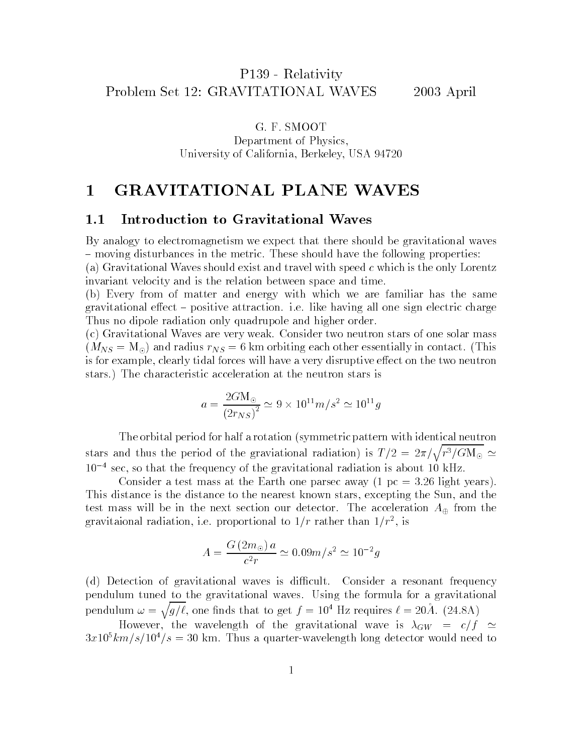G. F. SMOOT Department of Physics, University of California, Berkeley, USA 94720

### **GRAVITATIONAL PLANE WAVES**  $\mathbf 1$

### 1.1Introduction to Gravitational Waves

By analogy to electromagnetism we expect that there should be gravitational waves { moving disturbances in the metric. These should have the following properties: (a) Gravitational Waves should exist and travel with speed c which is the only Lorentz invariant velocity and is the relation between space and time.

(b) Every from of matter and energy with which we are familiar has the same gravitational effect – positive attraction. i.e. like having all one sign electric charge Thus no dipole radiation only quadrupole and higher order.

(c) Gravitational Waves are very weak. Consider two neutron stars of one solar mass  $\mathcal{L}_{\mathcal{L}}(s) = \mathcal{L}_{\mathcal{L}}(s)$  and radius  $\mathcal{L}_{\mathcal{N}}(s) = 0$  km orbitally each other essentially in contact. (This is for example, clearly tidal forces will have a very disruptive effect on the two neutron stars.) The characteristic acceleration at the neutron stars is

$$
a = \frac{2G \text{M}_{\odot}}{\left(2r_{NS}\right)^2} \simeq 9 \times 10^{11} m/s^2 \simeq 10^{11} g
$$

The orbital period for half a rotation (symmetric pattern with identical neutron stars and thus the period of the graviational radiation) is  $T/2 = 2\pi/\sqrt{r^3/GM_{\odot}} \simeq$  $10^{-4}$  sec, so that the frequency of the gravitational radiation is about 10 kHz.

Consider a test mass at the Earth one parsec away  $(1 pc = 3.26$  light years). This distance is the distance to the nearest known stars, excepting the Sun, and the test mass will be in the next section our detector. The acceleration  $A_{\oplus}$  from the gravitaional radiation, i.e. proportional to  $1/r$  rather than  $1/r^2$ , is

$$
A = \frac{G(2m_{\odot})a}{c^2r} \simeq 0.09m/s^2 \simeq 10^{-2}g
$$

(d) Detection of gravitational waves is difficult. Consider a resonant frequency pendulum tuned to the gravitational waves. Using the formula for a gravitational pendulum  $\omega = \sqrt{q/\ell}$ , one finds that to get  $f = 10^4$  Hz requires  $\ell = 20\AA$ . (24.8A)

However, the wavelength of the gravitational wave is  $\lambda_{GW}$  =  $c/f$   $\simeq$  $3x10^5km/s/10^4/s = 30$  km. Thus a quarter-wavelength long detector would need to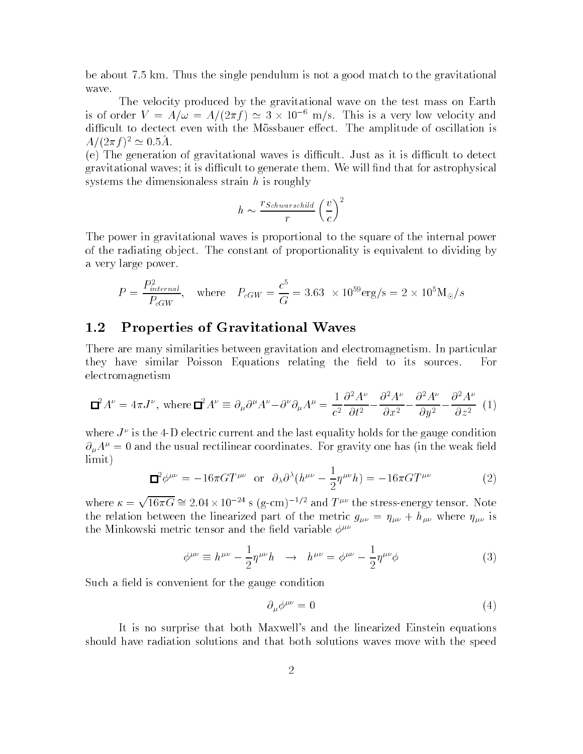be about 7.5 km. Thus the single pendulum is not a good match to the gravitational wave.

The velocity produced by the gravitational wave on the test mass on Earth is of order  $V = A/\omega = A/(2\pi t) \approx 3 \times 10^{-6}$  m/s. This is a very low velocity and difficult to dectect even with the Mössbauer effect. The amplitude of oscillation is  $A/(2\pi I)^2 \cong 0.5A$ .

 $(e)$  The generation of gravitational waves is difficult. Just as it is difficult to detect gravitational waves; it is difficult to generate them. We will find that for astrophysical systems the dimensionaless strain  $h$  is roughly

$$
h \sim \frac{r_{Schwarschild}}{r} \left(\frac{v}{c}\right)^2
$$

The power in gravitational waves is proportional to the square of the internal power of the radiating ob ject. The constant of proportionality is equivalent to dividing by a very large power.

$$
P = \frac{P_{internal}^2}{P_{cGW}}, \quad \text{where} \quad P_{cGW} = \frac{c^5}{G} = 3.63 \times 10^{59} \text{erg/s} = 2 \times 10^5 \text{M}_{\odot}/s
$$

### 1.2Properties of Gravitational Waves

There are many similarities between gravitation and electromagnetism. In particular they have similar Poisson Equations relating the field to its sources. For electromagnetism

$$
\mathbf{\Box}^2 A^{\nu} = 4\pi J^{\nu}, \text{ where } \mathbf{\Box}^2 A^{\nu} \equiv \partial_{\mu} \partial^{\mu} A^{\nu} - \partial^{\nu} \partial_{\mu} A^{\mu} = \frac{1}{c^2} \frac{\partial^2 A^{\nu}}{\partial t^2} - \frac{\partial^2 A^{\nu}}{\partial x^2} - \frac{\partial^2 A^{\nu}}{\partial y^2} - \frac{\partial^2 A^{\nu}}{\partial z^2} (1)
$$

where  $J^*$  is the 4-D electric current and the last equality holds for the gauge condition  $\partial_{\mu}A^{\mu}=0$  and the usual rectilinear coordinates. For gravity one has (in the weak field limit)

$$
\Box^2 \phi^{\mu\nu} = -16\pi G T^{\mu\nu} \quad \text{or} \quad \partial_{\lambda} \partial^{\lambda} (h^{\mu\nu} - \frac{1}{2} \eta^{\mu\nu} h) = -16\pi G T^{\mu\nu} \tag{2}
$$

where  $\kappa = \sqrt{16\pi G} \cong 2.04 \times 10^{-24}$  s (g-cm)<sup>-1/2</sup> and  $T^{\mu\nu}$  the stress-energy tensor. Note the relation between the linearized part of the metric g  $\mu$  where  $\mu$  where  $\mu$ the Minkowski metric tensor and the field variable  $\phi^{\mu\nu}$ 

$$
\phi^{\mu\nu} \equiv h^{\mu\nu} - \frac{1}{2} \eta^{\mu\nu} h \quad \rightarrow \quad h^{\mu\nu} = \phi^{\mu\nu} - \frac{1}{2} \eta^{\mu\nu} \phi \tag{3}
$$

Such a field is convenient for the gauge condition

$$
\partial_{\mu}\phi^{\mu\nu} = 0 \tag{4}
$$

It is no surprise that both Maxwell's and the linearized Einstein equations should have radiation solutions and that both solutions waves move with the speed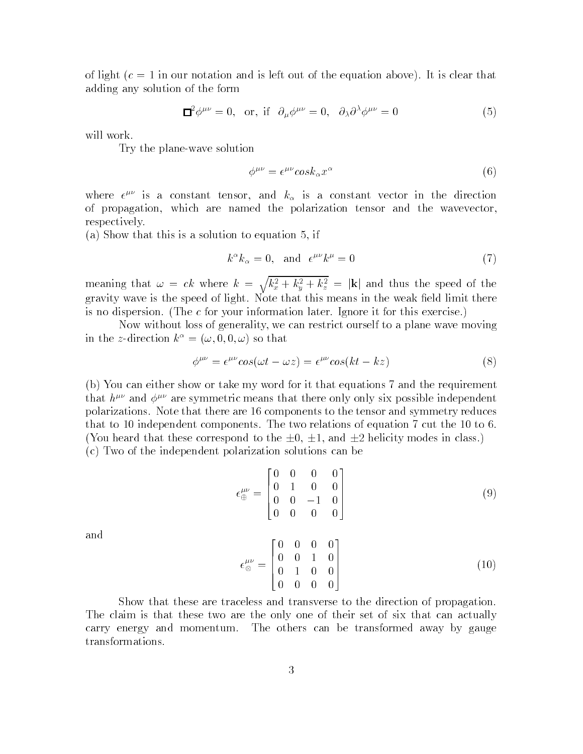of light  $(c = 1$  in our notation and is left out of the equation above). It is clear that adding any solution of the form

$$
\Box^2 \phi^{\mu\nu} = 0, \text{ or, if } \partial_\mu \phi^{\mu\nu} = 0, \partial_\lambda \partial^\lambda \phi^{\mu\nu} = 0 \tag{5}
$$

will work.

Try the plane-wave solution

$$
\phi^{\mu\nu} = \epsilon^{\mu\nu} \cos k_{\alpha} x^{\alpha} \tag{6}
$$

where  $\epsilon^{**}$  is a constant tensor, and  $\kappa_{\alpha}$  is a constant vector in the direction of propagation, which are named the polarization tensor and the wavevector, respectively.

(a) Show that this is a solution to equation 5, if

$$
k^{\alpha}k_{\alpha} = 0, \text{ and } \epsilon^{\mu\nu}k^{\mu} = 0 \tag{7}
$$

meaning that  $\omega = ck$  where  $k = \sqrt{k_x^2 + k_y^2 + k_z^2} = |{\bf k}|$  and thus the speed of the gravity wave is the speed of light. Note that this means in the weak field limit there is no dispersion. (The c for your information later. Ignore it for this exercise.)

Now without loss of generality, we can restrict ourself to a plane wave moving in the z-direction  $k^{\alpha} = (\omega, 0, 0, \omega)$  so that

$$
\phi^{\mu\nu} = \epsilon^{\mu\nu} \cos(\omega t - \omega z) = \epsilon^{\mu\nu} \cos(kt - kz) \tag{8}
$$

(b) You can either show or take my word for it that equations 7 and the requirement that  $h^{\mu\nu}$  and  $\phi^{\mu\nu}$  are symmetric means that there only only six possible independent polarizations. Note that there are 16 components to the tensor and symmetry reduces that to 10 independent components. The two relations of equation 7 cut the 10 to 6. (You heard that these correspond to the  $\pm 0$ ,  $\pm 1$ , and  $\pm 2$  helicity modes in class.) (c) Two of the independent polarization solutions can be

$$
\epsilon_{\oplus}^{\mu\nu} = \begin{bmatrix} 0 & 0 & 0 & 0 \\ 0 & 1 & 0 & 0 \\ 0 & 0 & -1 & 0 \\ 0 & 0 & 0 & 0 \end{bmatrix}
$$
 (9)

and

$$
\epsilon_{\otimes}^{\mu\nu} = \begin{bmatrix} 0 & 0 & 0 & 0 \\ 0 & 0 & 1 & 0 \\ 0 & 1 & 0 & 0 \\ 0 & 0 & 0 & 0 \end{bmatrix}
$$
 (10)

Show that these are traceless and transverse to the direction of propagation. The claim is that these two are the only one of their set of six that can actually carry energy and momentum. The others can be transformed away by gauge transformations.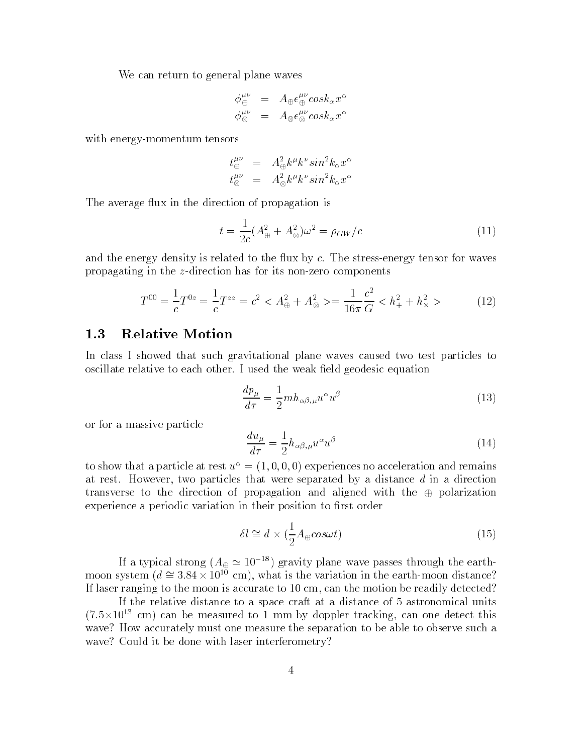We can return to general plane waves

$$
\begin{array}{rcl}\n\phi_{\oplus}^{\mu\nu} & = & A_{\oplus} \epsilon_{\oplus}^{\mu\nu} cos k_{\alpha} x^{\alpha} \\
\phi_{\otimes}^{\mu\nu} & = & A_{\otimes} \epsilon_{\otimes}^{\mu\nu} cos k_{\alpha} x^{\alpha}\n\end{array}
$$

with energy-momentum tensors

$$
t^{\mu\nu}_{\oplus} = A_{\oplus}^2 k^{\mu} k^{\nu} sin^2 k_{\alpha} x^{\alpha}
$$
  

$$
t^{\mu\nu}_{\otimes} = A_{\otimes}^2 k^{\mu} k^{\nu} sin^2 k_{\alpha} x^{\alpha}
$$

The average flux in the direction of propagation is

$$
t = \frac{1}{2c}(A_{\oplus}^2 + A_{\otimes}^2)\omega^2 = \rho_{GW}/c
$$
 (11)

and the energy density is related to the flux by  $c$ . The stress-energy tensor for waves propagating in the z-direction has for its non-zero components

$$
T^{00} = \frac{1}{c}T^{0z} = \frac{1}{c}T^{zz} = c^2 < A^2_{\oplus} + A^2_{\otimes} > = \frac{1}{16\pi} \frac{c^2}{G} < h^2_{+} + h^2_{\times} > \tag{12}
$$

### 1.3Relative Motion

In class I showed that such gravitational plane waves caused two test particles to oscillate relative to each other. I used the weak field geodesic equation

$$
\frac{dp_{\mu}}{d\tau} = \frac{1}{2}m h_{\alpha\beta,\mu} u^{\alpha} u^{\beta} \tag{13}
$$

or for a massive particle

$$
\frac{du_{\mu}}{d\tau} = \frac{1}{2}h_{\alpha\beta,\mu}u^{\alpha}u^{\beta}
$$
\n(14)

to show that a particle at rest  $u^{\alpha} = (1, 0, 0, 0)$  experiences no acceleration and remains at rest. However, two particles that were separated by a distance  $d$  in a direction transverse to the direction of propagation and aligned with the  $\oplus$  polarization experience a periodic variation in their position to first order

$$
\delta l \cong d \times (\frac{1}{2}A_{\oplus} \cos \omega t) \tag{15}
$$

If a typical strong  $(A_{\oplus} \simeq 10^{-18})$  gravity plane wave passes through the earthmoon system ( $a = 3.84 \times 10^{-1}$  cm), what is the variation in the earth-moon distance: If laser ranging to the moon is accurate to 10 cm, can the motion be readily detected?

If the relative distance to a space craft at a distance of 5 astronomical units  $(7.5\times10^{-7}$  cm) can be measured to 1 mm by doppler tracking, can one detect this wave? How accurately must one measure the separation to be able to observe such a wave? Could it be done with laser interferometry?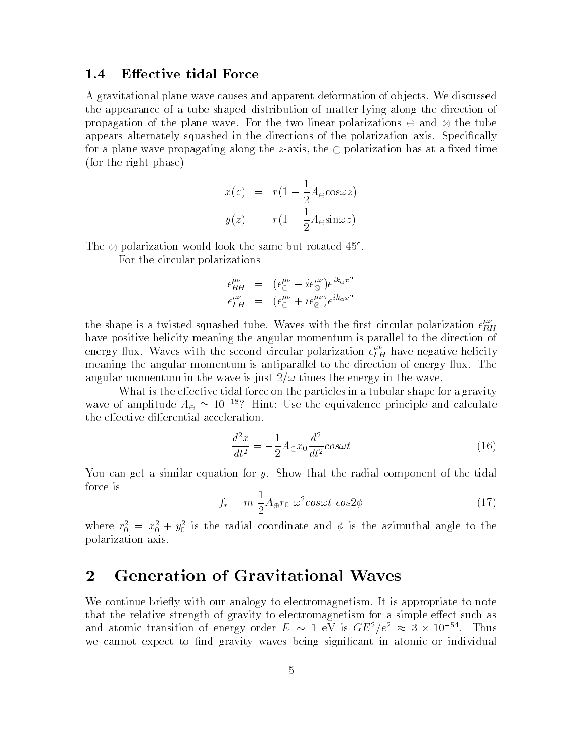#### 1.4Effective tidal Force

A gravitational plane wave causes and apparent deformation of ob jects. We discussed the appearance of a tube-shaped distribution of matter lying along the direction of propagation of the plane wave. For the two linear polarizations and the tube appears alternately squashed in the directions of the polarization axis. Specifically for a plane wave propagating along the z-axis, the  $\oplus$  polarization has at a fixed time (for the right phase)

$$
x(z) = r(1 - \frac{1}{2}A_{\oplus}\cos\omega z)
$$

$$
y(z) = r(1 - \frac{1}{2}A_{\oplus}\sin\omega z)
$$

I ne  $\otimes$  polarization would look the same but rotated 45.

For the circular polarizations

$$
\epsilon_{HH}^{\mu\nu} = (\epsilon_{\oplus}^{\mu\nu} - i\epsilon_{\otimes}^{\mu\nu})e^{ik_{\alpha}x^{\alpha}}
$$

$$
\epsilon_{LH}^{\mu\nu} = (\epsilon_{\oplus}^{\mu\nu} + i\epsilon_{\otimes}^{\mu\nu})e^{ik_{\alpha}x^{\alpha}}
$$

the shape is a twisted squashed tube. Waves with the first circular polarization  $\epsilon_{RH}^{ex}$ have positive helicity meaning the angular momentum is parallel to the direction of energy flux. Waves with the second circular polarization  $\epsilon_{LH}^{rr}$  have negative helicity meaning the angular momentum is antiparallel to the direction of energy flux. The angular momentum in the wave is just  $2/\omega$  times the energy in the wave.

What is the effective tidal force on the particles in a tubular shape for a gravity wave of amplitude  $A_{\oplus} \simeq 10^{-18}$ ? Hint: Use the equivalence principle and calculate the effective differential acceleration.

$$
\frac{d^2x}{dt^2} = -\frac{1}{2}A_{\oplus}x_0\frac{d^2}{dt^2}cos\omega t\tag{16}
$$

You can get a similar equation for y. Show that the radial component of the tidal force is

$$
f_r = m \frac{1}{2} A_{\oplus} r_0 \ \omega^2 \cos \omega t \ \cos 2\phi \tag{17}
$$

where  $r_0 = x_0 + y_0$  is the radial coordinate and  $\phi$  is the azimuthal angle to the polarization axis.

## 2 Generation of Gravitational Waves

We continue briefly with our analogy to electromagnetism. It is appropriate to note that the relative strength of gravity to electromagnetism for a simple effect such as and atomic transition of energy order  $E \sim 1$  eV is  $GE^+ / e^- \approx 3 \times 10^{-11}$ . Thus we cannot expect to find gravity waves being significant in atomic or individual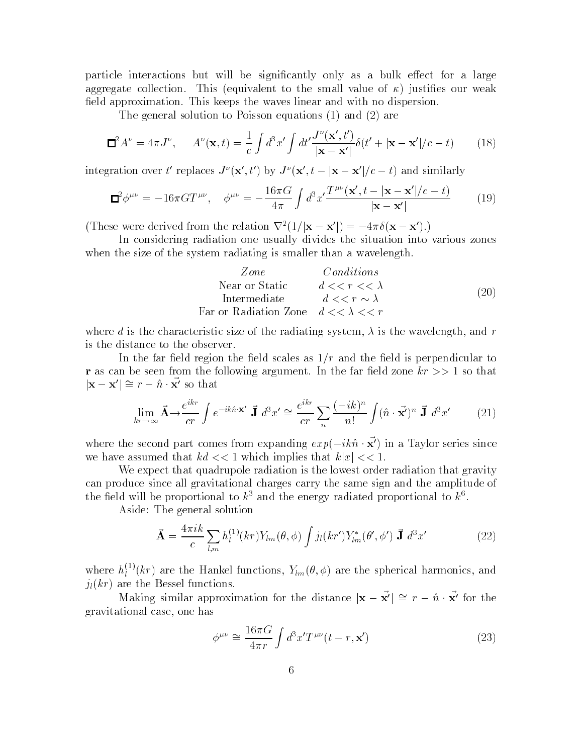particle interactions but will be significantly only as a bulk effect for a large aggregate collection. This (equivalent to the small value of  $\kappa$ ) justifies our weak field approximation. This keeps the waves linear and with no dispersion.

The general solution to Poisson equations (1) and (2) are

$$
\mathbf{\Xi}^2 A^{\nu} = 4\pi J^{\nu}, \qquad A^{\nu}(\mathbf{x}, t) = \frac{1}{c} \int d^3 x' \int dt' \frac{J^{\nu}(\mathbf{x}', t')}{|\mathbf{x} - \mathbf{x}'|} \delta(t' + |\mathbf{x} - \mathbf{x}'|/c - t) \tag{18}
$$

integration over the replaces  $J^*(\mathbf{X},t)$  by  $J^*(\mathbf{X},t-|\mathbf{X}-\mathbf{X}|/c-t)$  and similarly

$$
\mathbf{\Xi}^2 \phi^{\mu\nu} = -16\pi G T^{\mu\nu}, \quad \phi^{\mu\nu} = -\frac{16\pi G}{4\pi} \int d^3 x' \frac{T^{\mu\nu}(\mathbf{x}', t - |\mathbf{x} - \mathbf{x}'|/c - t)}{|\mathbf{x} - \mathbf{x}'|} \tag{19}
$$

(These were derived from the relation  $\nabla^2(1/|\mathbf{x}-\mathbf{x}'|) = -4\pi\delta(\mathbf{x}-\mathbf{x}')$ .)

In considering radiation one usually divides the situation into various zones when the size of the system radiating is smaller than a wavelength.

| Zone           | Conditions                    |      |
|----------------|-------------------------------|------|
| Near or Static | $d \lt \lt r \lt \lt \lambda$ | (20) |
| Intermediate   | $d \lt \lt r \sim \lambda$    | (20) |

where d is the characteristic size of the radiating system,  $\lambda$  is the wavelength, and r is the distance to the observer.

In the far field region the field scales as  $1/r$  and the field is perpendicular to **r** as can be seen from the following argument. In the far field zone  $kr \gg 1$  so that  $|{\bf X}-{\bf X}| = r - n \cdot {\bf X}$  so that

$$
\lim_{kr \to \infty} \vec{\mathbf{A}} \to \frac{e^{ikr}}{cr} \int e^{-ik\hat{n} \cdot \mathbf{x'}} \vec{\mathbf{J}} \, d^3 x' \cong \frac{e^{ikr}}{cr} \sum_{n} \frac{(-ik)^n}{n!} \int (\hat{n} \cdot \vec{\mathbf{x'}})^n \vec{\mathbf{J}} \, d^3 x' \tag{21}
$$

where the second part comes from expanding  $exp(-\iota \kappa n \cdot {\bf x})$  in a Taylor series since we have assumed that  $kd \ll 1$  which implies that  $k|x| \ll 1$ .

We expect that quadrupole radiation is the lowest order radiation that gravity can produce since all gravitational charges carry the same sign and the amplitude of the field will be proportional to  $k^*$  and the energy radiated proportional to  $k^*$ .

Aside: The general solution

$$
\vec{\mathbf{A}} = \frac{4\pi i k}{c} \sum_{l,m} h_l^{(1)}(kr) Y_{lm}(\theta,\phi) \int j_l(kr') Y_{lm}^*(\theta',\phi') \; \vec{\mathbf{J}} \; d^3x' \tag{22}
$$

where  $h_i^{(1)}(k)$ l (kr) are the Hankel functions,  $\mathcal{L}_{\text{imp}}(x)$  are the spherical functions, and  $j_l(kr)$  are the Bessel functions.

Making similar approximation for the distance  $|\mathbf{x} - \vec{\mathbf{x}}'| \cong r - \hat{\mathbf{n}} \cdot \vec{\mathbf{x}}'$  for the gravitational case, one has

$$
\phi^{\mu\nu} \cong \frac{16\pi G}{4\pi r} \int d^3 x' T^{\mu\nu} (t - r, \mathbf{x}') \tag{23}
$$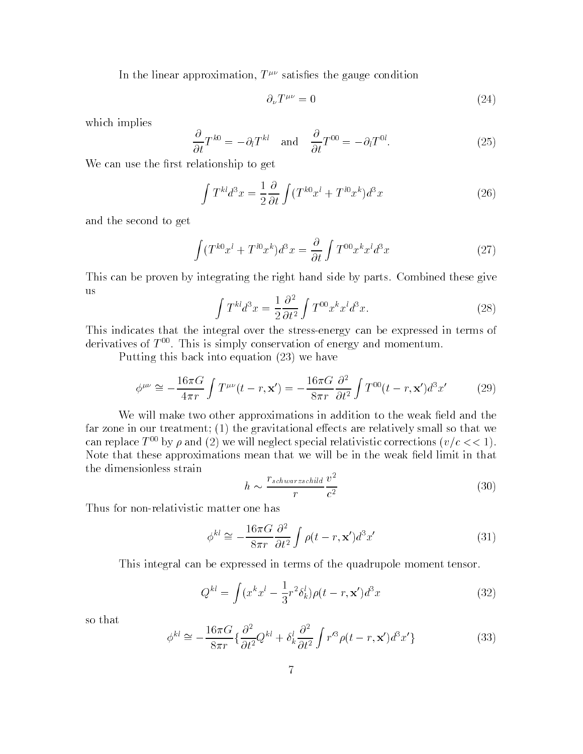In the linear approximation,  $T^{\mu\nu}$  satisfies the gauge condition

$$
\partial_{\nu}T^{\mu\nu} = 0 \tag{24}
$$

which implies

$$
\frac{\partial}{\partial t}T^{k0} = -\partial_t T^{kl} \quad \text{and} \quad \frac{\partial}{\partial t}T^{00} = -\partial_t T^{0l}.\tag{25}
$$

We can use the first relationship to get

$$
\int T^{kl}d^3x = \frac{1}{2}\frac{\partial}{\partial t}\int (T^{k0}x^l + T^{l0}x^k)d^3x\tag{26}
$$

and the second to get

$$
\int (T^{k0}x^l + T^{l0}x^k)d^3x = \frac{\partial}{\partial t}\int T^{00}x^kx^ld^3x\tag{27}
$$

This can be proven by integrating the right hand side by parts. Combined these give us

$$
\int T^{kl}d^3x = \frac{1}{2}\frac{\partial^2}{\partial t^2} \int T^{00}x^k x^l d^3x.
$$
\n(28)

This indicates that the integral over the stress-energy can be expressed in terms of derivatives of  $T^{00}$ . This is simply conservation of energy and momentum.

Putting this back into equation (23) we have

$$
\phi^{\mu\nu} \cong -\frac{16\pi G}{4\pi r} \int T^{\mu\nu}(t-r, \mathbf{x}') = -\frac{16\pi G}{8\pi r} \frac{\partial^2}{\partial t^2} \int T^{00}(t-r, \mathbf{x}') d^3 x' \tag{29}
$$

We will make two other approximations in addition to the weak field and the far zone in our treatment;  $(1)$  the gravitational effects are relatively small so that we can replace  $T^{00}$  by  $\rho$  and (2) we will neglect special relativistic corrections ( $v/c \ll 1$ ). Note that these approximations mean that we will be in the weak field limit in that the dimensionless strain

$$
h \sim \frac{r_{schwarzschild}}{r} \frac{v^2}{c^2} \tag{30}
$$

Thus for non-relativistic matter one has

$$
\phi^{kl} \cong -\frac{16\pi G}{8\pi r} \frac{\partial^2}{\partial t^2} \int \rho(t-r, \mathbf{x}') d^3 x'
$$
\n(31)

This integral can be expressed in terms of the quadrupole moment tensor.

$$
Q^{kl} = \int (x^k x^l - \frac{1}{3}r^2 \delta_k^l) \rho(t - r, \mathbf{x}') d^3 x
$$
 (32)

so that

$$
\phi^{kl} \cong -\frac{16\pi G}{8\pi r} \left\{ \frac{\partial^2}{\partial t^2} Q^{kl} + \delta_k^l \frac{\partial^2}{\partial t^2} \int r'^3 \rho(t-r, \mathbf{x}') d^3 x' \right\} \tag{33}
$$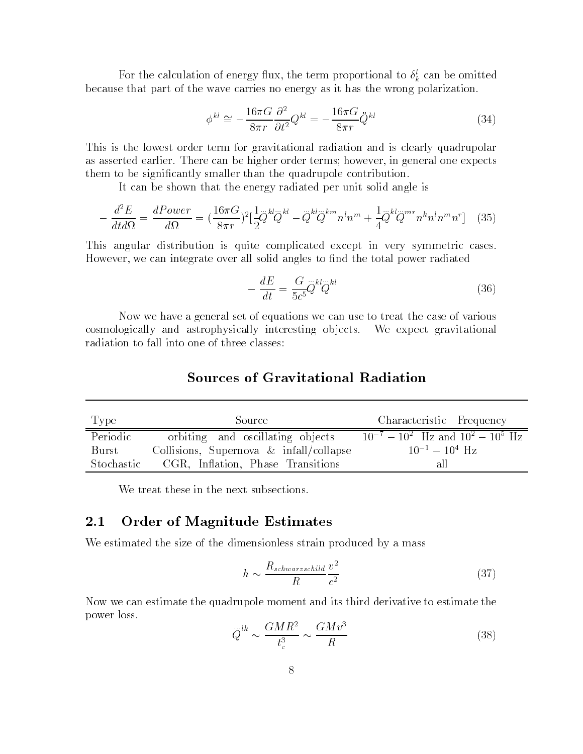For the calculation of energy flux, the term proportional to  $o_k^+$  can be omitted because that part of the wave carries no energy as it has the wrong polarization.

$$
\phi^{kl} \cong -\frac{16\pi G}{8\pi r} \frac{\partial^2}{\partial t^2} Q^{kl} = -\frac{16\pi G}{8\pi r} \ddot{Q}^{kl} \tag{34}
$$

This is the lowest order term for gravitational radiation and is clearly quadrupolar as asserted earlier. There can be higher order terms; however, in general one expects them to be signicantly smaller than the quadrupole contribution.

It can be shown that the energy radiated per unit solid angle is

$$
-\frac{d^2 E}{d t d \Omega} = \frac{d Pover}{d \Omega} = \left(\frac{16\pi G}{8\pi r}\right)^2 \left[\frac{1}{2} \ddot{Q}^{kl} \ddot{Q}^{kl} - \ddot{Q}^{kl} \ddot{Q}^{km} n^l n^m + \frac{1}{4} \ddot{Q}^{kl} \ddot{Q}^{mr} n^k n^l n^m n^r\right] \tag{35}
$$

This angular distribution is quite complicated except in very symmetric cases. However, we can integrate over all solid angles to find the total power radiated

$$
-\frac{dE}{dt} = \frac{G}{5c^5} \ddot{Q}^{kl} \ddot{Q}^{kl} \tag{36}
$$

Now we have a general set of equations we can use to treat the case of various cosmologically and astrophysically interesting ob jects. We expect gravitational radiation to fall into one of three classes:

## Sources of Gravitational Radiation

| Type       | Source                                     | Characteristic Frequency                       |
|------------|--------------------------------------------|------------------------------------------------|
| Periodic   | orbiting and oscillating objects           | $10^{-7} - 10^{2}$ Hz and $10^{2} - 10^{5}$ Hz |
| Burst      | Collisions, Supernova $\&$ infall/collapse | $10^{-1} - 10^{4}$ Hz                          |
| Stochastic | CGR, Inflation, Phase Transitions          | -a.H                                           |

We treat these in the next subsections.

### 2.1Order of Magnitude Estimates

We estimated the size of the dimensionless strain produced by a mass

$$
h \sim \frac{R_{schwarzschild}}{R} \frac{v^2}{c^2} \tag{37}
$$

Now we can estimate the quadrupole moment and its third derivative to estimate the power loss.

$$
\ddot{Q}^{lk} \sim \frac{GMR^2}{t_c^3} \sim \frac{GMv^3}{R} \tag{38}
$$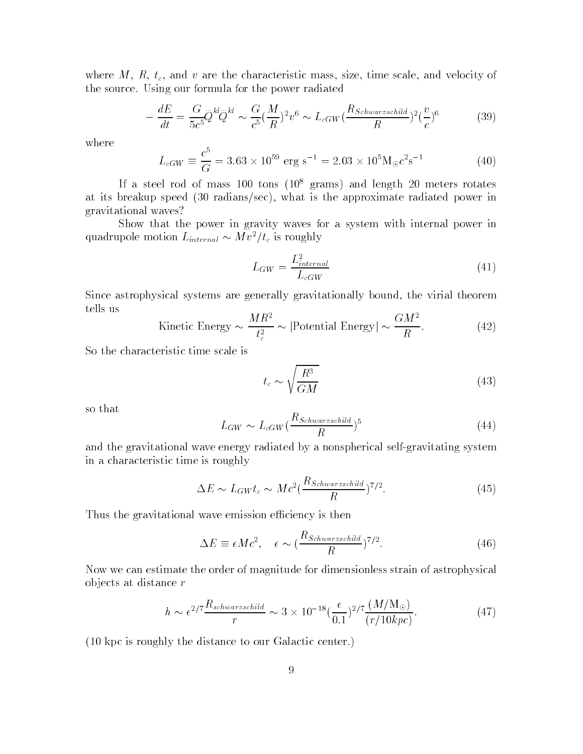where  $M$ ,  $R$ ,  $t_c$ , and  $v$  are the characteristic mass, size, time scale, and velocity of the source. Using our formula for the power radiated

$$
-\frac{dE}{dt} = \frac{G}{5c^5} \ddot{Q}^{kl} \ddot{Q}^{kl} \sim \frac{G}{c^5} (\frac{M}{R})^2 v^6 \sim L_{cGW} (\frac{R_{Schwarzschild}}{R})^2 (\frac{v}{c})^6 \tag{39}
$$

where

$$
L_{cGW} \equiv \frac{c^5}{G} = 3.63 \times 10^{59} \text{ erg s}^{-1} = 2.03 \times 10^5 \text{M}_{\odot} c^2 \text{s}^{-1}
$$
 (40)

If a steel rod of mass  $100$  tons  $(10^8 \text{ grams})$  and length 20 meters rotates at its breakup speed (30 radians/sec), what is the approximate radiated power in gravitational waves?

Show that the power in gravity waves for a system with internal power in quadrupole motion  $L_{internal} \sim M v^2/t_c$  is roughly

$$
L_{GW} = \frac{L_{internal}^2}{L_{cGW}} \tag{41}
$$

Since astrophysical systems are generally gravitationally bound, the virial theorem tells us

Kinetic Energy 
$$
\sim \frac{MR^2}{t_c^2} \sim |\text{Potential Energy}| \sim \frac{GM^2}{R}.
$$
 (42)

So the characteristic time scale is

$$
t_c \sim \sqrt{\frac{R^3}{GM}}\tag{43}
$$

so that

$$
L_{GW} \sim L_{cGW} \left(\frac{R_{Schwarzschild}}{R}\right)^5 \tag{44}
$$

and the gravitational wave energy radiated by a nonspherical self-gravitating system in a characteristic time is roughly

$$
\Delta E \sim L_{GW} t_c \sim M c^2 \left(\frac{R_{Schwarzschild}}{R}\right)^{7/2}.
$$
\n(45)

Thus the gravitational wave emission efficiency is then

$$
\Delta E \equiv \epsilon M c^2, \quad \epsilon \sim \left(\frac{R_{Schwarzschild}}{R}\right)^{7/2}.
$$
\n(46)

Now we can estimate the order of magnitude for dimensionless strain of astrophysical ob jects at distance r

$$
h \sim \epsilon^{2/7} \frac{R_{schwarzschild}}{r} \sim 3 \times 10^{-18} (\frac{\epsilon}{0.1})^{2/7} \frac{(M/\text{M}_{\odot})}{(r/10 kpc)}.
$$
 (47)

(10 kpc is roughly the distance to our Galactic center.)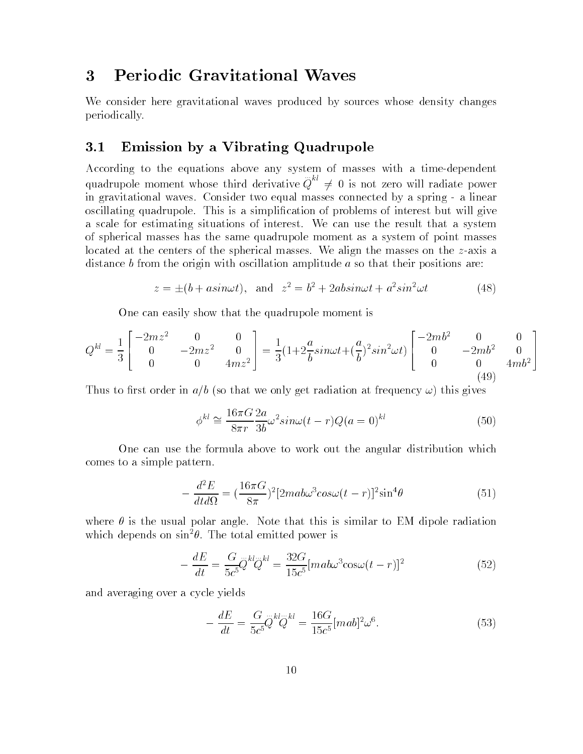# 3 Periodic Gravitational Waves

We consider here gravitational waves produced by sources whose density changes periodically.

### 3.1Emission by a Vibrating Quadrupole

According to the equations above any system of masses with a time-dependent quadrupole moment whose third derivative moment whose third dependence of the contract of the contract of the :::  $Q^{\pi} \neq 0$  is not zero will radiate power in gravitational waves. Consider two equal masses connected by a spring - a linear oscillating quadrupole. This is a simplication of problems of interest but will give a scale for estimating situations of interest. We can use the result that a system of spherical masses has the same quadrupole moment as a system of point masses located at the centers of the spherical masses. We align the masses on the  $z$ -axis a distance b from the origin with oscillation amplitude a so that their positions are:

$$
z = \pm (b + a\sin\omega t), \text{ and } z^2 = b^2 + 2ab\sin\omega t + a^2 \sin^2 \omega t \tag{48}
$$

One can easily show that the quadrupole moment is

$$
Q^{kl} = \frac{1}{3} \begin{bmatrix} -2m z^2 & 0 & 0 \\ 0 & -2m z^2 & 0 \\ 0 & 0 & 4m z^2 \end{bmatrix} = \frac{1}{3} (1 + 2\frac{a}{b} sin\omega t + (\frac{a}{b})^2 sin^2 \omega t) \begin{bmatrix} -2m b^2 & 0 & 0 \\ 0 & -2m b^2 & 0 \\ 0 & 0 & 4m b^2 \end{bmatrix}
$$
(49)

Thus to first order in  $a/b$  (so that we only get radiation at frequency  $\omega$ ) this gives

$$
\phi^{kl} \cong \frac{16\pi G}{8\pi r} \frac{2a}{3b} \omega^2 \sin\omega (t-r) Q(a=0)^{kl} \tag{50}
$$

One can use the formula above to work out the angular distribution which comes to a simple pattern.

$$
-\frac{d^2E}{dt d\Omega} = \left(\frac{16\pi G}{8\pi}\right)^2 [2ma b\omega^3 cos\omega(t-r)]^2 sin^4\theta \tag{51}
$$

where  $\theta$  is the usual polar angle. Note that this is similar to EM dipole radiation which depends on  $\sin^2\theta$ . The total emitted power is

$$
-\frac{dE}{dt} = \frac{G}{5c^5} \ddot{Q}^{kl} \ddot{Q}^{kl} = \frac{32G}{15c^5} [mab\omega^3 \cos\omega(t-r)]^2
$$
\n(52)

and averaging over a cycle yields

L,

$$
-\frac{dE}{dt} = \frac{G}{5c^5}Q^{kl}Q^{kl} = \frac{16G}{15c^5}[ma b]^2 \omega^6.
$$
 (53)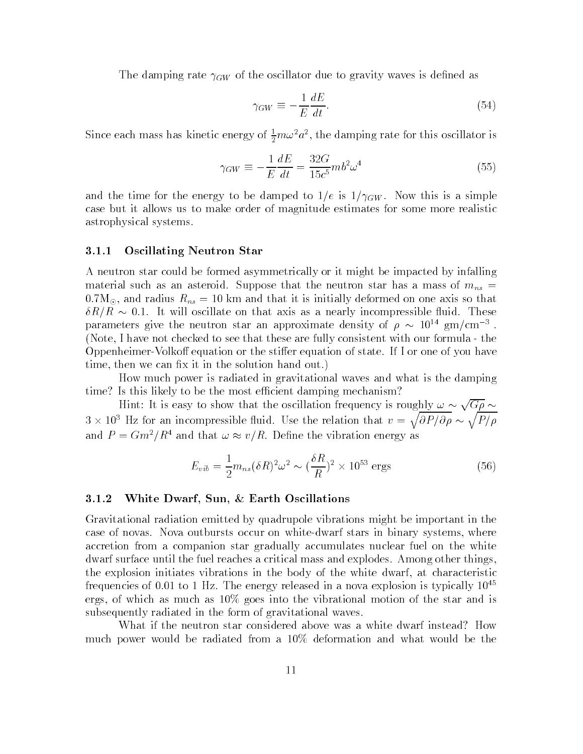The damping rate  $\{A\}$  is the common was in decisity waves in decreasing as

$$
\gamma_{GW} \equiv -\frac{1}{E} \frac{dE}{dt}.\tag{54}
$$

Since each mass has kinetic energy of  $\frac{1}{2}m\omega^2 a^2$ , the damping rate for this oscillator is

$$
\gamma_{GW} \equiv -\frac{1}{E} \frac{dE}{dt} = \frac{32G}{15c^5} m b^2 \omega^4 \tag{55}
$$

and the time for the energy to be distinctly to 1/e is 1/2  $\mu$  ,  $\mu$  ,  $\mu$  , this is a simple to  $\mu$ case but it allows us to make order of magnitude estimates for some more realistic astrophysical systems.

### 3.1.1 Oscillating Neutron Star

A neutron star could be formed asymmetrically or it might be impacted by infalling material such as an asteroid. Suppose that the neutron star has a mass of mns  $\mathfrak{m}$  $0.7M_{\odot}$ , and radius  $R_{ns} = 10$  km and that it is initially deformed on one axis so that R=R 0:1. It will oscillate on that axis as a nearly incompressible 
uid. These parameters give the neutron star an approximate density of  $\rho \sim 10^{-1}$  gm/cm  $^{-1}$ . (Note, I have not checked to see that these are fully consistent with our formula - the Oppenheimer-Volkoff equation or the stiffer equation of state. If I or one of you have time, then we can fix it in the solution hand out.)

How much power is radiated in gravitational waves and what is the damping time? Is this likely to be the most efficient damping mechanism?

Hint: It is easy to show that the oscillation frequency is roughly  $\omega \sim \sqrt{G\rho} \sim$  $3 \times 10^3$  Hz for an incompressible fluid. Use the relation that  $v = \sqrt{\partial P/\partial \rho} \sim \sqrt{P/\rho}$ and  $P = Gm^2/R^2$  and that  $\omega \approx v/R$ . Define the vibration energy as

$$
E_{vib} = \frac{1}{2} m_{ns} (\delta R)^2 \omega^2 \sim (\frac{\delta R}{R})^2 \times 10^{53} \text{ ergs}
$$
 (56)

### 3.1.2 White Dwarf, Sun, & Earth Oscillations

Gravitational radiation emitted by quadrupole vibrations might be important in the case of novas. Nova outbursts occur on white-dwarf stars in binary systems, where accretion from a companion star gradually accumulates nuclear fuel on the white dwarf surface until the fuel reaches a critical mass and explodes. Among other things, the explosion initiates vibrations in the body of the white dwarf, at characteristic frequencies of 0.01 to 1 Hz. The energy released in a nova explosion is typically  $10^{45}$ ergs, of which as much as 10% goes into the vibrational motion of the star and is subsequently radiated in the form of gravitational waves.

What if the neutron star considered above was a white dwarf instead? How much power would be radiated from a 10% deformation and what would be the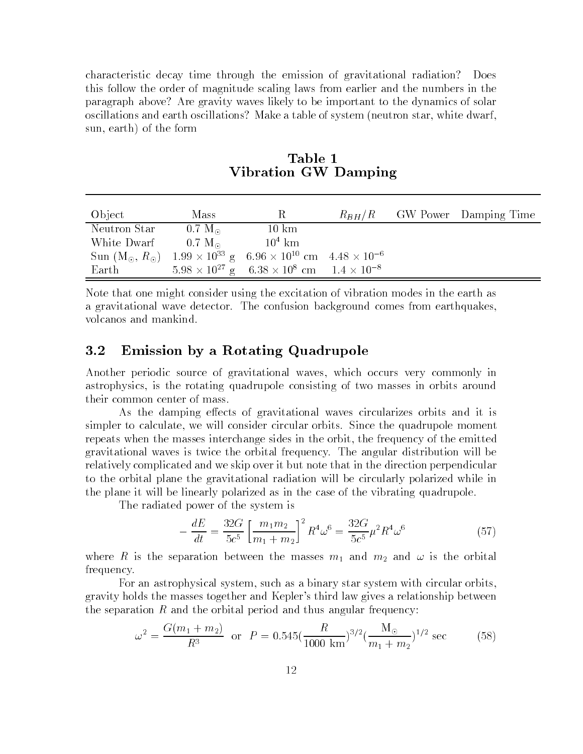characteristic decay time through the emission of gravitational radiation? Does this follow the order of magnitude scaling laws from earlier and the numbers in the paragraph above? Are gravity waves likely to be important to the dynamics of solar oscillations and earth oscillations? Make a table of system (neutron star, white dwarf, sun, earth) of the form

| Object                       | Mass                   | R                                                                                        |  | $R_{BH}/R$ GW Power Damping Time |
|------------------------------|------------------------|------------------------------------------------------------------------------------------|--|----------------------------------|
| Neutron Star                 | $0.7~M_{\odot}$        | $10 \text{ km}$                                                                          |  |                                  |
| White Dwarf                  | $-0.7~{\rm M}_{\odot}$ | $10^4$ km                                                                                |  |                                  |
| Sun $(M_{\odot}, R_{\odot})$ |                        | $1.99 \times 10^{33}$ g 6.96 $\times$ 10 <sup>10</sup> cm 4.48 $\times$ 10 <sup>-6</sup> |  |                                  |
| $\operatorname{Earth}$       |                        | $5.98 \times 10^{27}$ g $6.38 \times 10^8$ cm $1.4 \times 10^{-8}$                       |  |                                  |

Table 1Vibration GW Damping

Note that one might consider using the excitation of vibration modes in the earth as a gravitational wave detector. The confusion background comes from earthquakes, volcanos and mankind.

### 3.2Emission by a Rotating Quadrupole

Another periodic source of gravitational waves, which occurs very commonly in astrophysics, is the rotating quadrupole consisting of two masses in orbits around

As the damping effects of gravitational waves circularizes orbits and it is simpler to calculate, we will consider circular orbits. Since the quadrupole moment repeats when the masses interchange sides in the orbit, the frequency of the emitted gravitational waves is twice the orbital frequency. The angular distribution will be relatively complicated and we skip over it but note that in the direction perpendicular to the orbital plane the gravitational radiation will be circularly polarized while in the plane it will be linearly polarized as in the case of the vibrating quadrupole.

The radiated power of the system is

$$
-\frac{dE}{dt} = \frac{32G}{5c^5} \left[ \frac{m_1 m_2}{m_1 + m_2} \right]^2 R^4 \omega^6 = \frac{32G}{5c^5} \mu^2 R^4 \omega^6 \tag{57}
$$

where R is the separation between the masses  $m_1$  and  $m_2$  and  $\omega$  is the orbital frequency.

For an astrophysical system, such as a binary star system with circular orbits, gravity holds the masses together and Kepler's third law gives a relationship between the separation  $R$  and the orbital period and thus angular frequency:

$$
\omega^2 = \frac{G(m_1 + m_2)}{R^3} \text{ or } P = 0.545 \left(\frac{R}{1000 \text{ km}}\right)^{3/2} \left(\frac{M_\odot}{m_1 + m_2}\right)^{1/2} \text{ sec}
$$
 (58)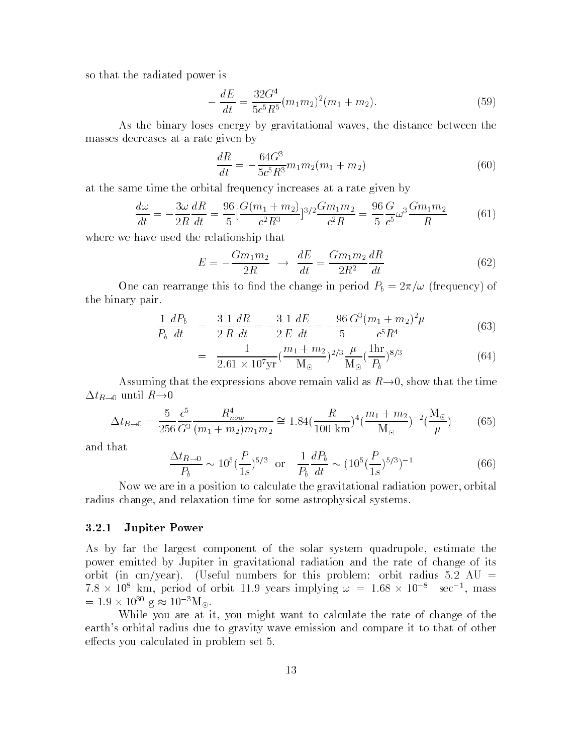so that the radiated power is

$$
-\frac{dE}{dt} = \frac{32G^4}{5c^5R^5}(m_1m_2)^2(m_1+m_2).
$$
 (59)

As the binary loses energy by gravitational waves, the distance between the masses decreases at a rate given by

$$
\frac{dR}{dt} = -\frac{64G^3}{5c^5R^3}m_1m_2(m_1 + m_2)
$$
\n(60)

at the same time the orbital frequency increases at a rate given by

$$
\frac{d\omega}{dt} = -\frac{3\omega}{2R}\frac{dR}{dt} = \frac{96}{5} \left[\frac{G(m_1 + m_2)}{c^2 R^3}\right]^{3/2} \frac{Gm_1 m_2}{c^2 R} = \frac{96}{5} \frac{G}{c^5} \omega^3 \frac{Gm_1 m_2}{R} \tag{61}
$$

where we have used the relationship that

$$
E = -\frac{Gm_1m_2}{2R} \rightarrow \frac{dE}{dt} = \frac{Gm_1m_2}{2R^2}\frac{dR}{dt}
$$
(62)

 $\Box$  and the canonical canonical the change in period  $\Box$ the binary pair.

$$
\frac{1}{P_b} \frac{dP_b}{dt} = \frac{3}{2} \frac{1}{R} \frac{dR}{dt} = -\frac{3}{2} \frac{1}{E} \frac{dE}{dt} = -\frac{96}{5} \frac{G^3 (m_1 + m_2)^2 \mu}{c^5 R^4}
$$
(63)

$$
= \frac{1}{2.61 \times 10^7 \text{yr}} (\frac{m_1 + m_2}{\text{M}_\odot})^{2/3} \frac{\mu}{\text{M}_\odot} (\frac{1 \text{hr}}{P_b})^{8/3} \tag{64}
$$

Assuming that the expressions above remain valid as  $R\rightarrow 0$ , show that the time  $\Delta t_{R\rightarrow 0}$  until  $R\rightarrow 0$ 

$$
\Delta t_{R \to 0} = \frac{5}{256} \frac{c^5}{G^3} \frac{R_{now}^4}{(m_1 + m_2)m_1m_2} \approx 1.84 \left(\frac{R}{100 \text{ km}}\right)^4 \left(\frac{m_1 + m_2}{M_\odot}\right)^{-2} \left(\frac{M_\odot}{\mu}\right) \tag{65}
$$

and that

$$
\frac{\Delta t_{R\to 0}}{P_b} \sim 10^5 \left(\frac{P}{1s}\right)^{5/3} \text{ or } \frac{1}{P_b} \frac{dP_b}{dt} \sim \left(10^5 \left(\frac{P}{1s}\right)^{5/3}\right)^{-1} \tag{66}
$$

Now we are in a position to calculate the gravitational radiation power, orbital radius change, and relaxation time for some astrophysical systems.

### 3.2.1 Jupiter Power

As by far the largest component of the solar system quadrupole, estimate the power emitted by Jupiter in gravitational radiation and the rate of change of its orbit (in cm/year). (Useful numbers for this problem: orbit radius 5.2 AU  $=$  $7.8 \times 10^{-6}$  km, period of orbit 11.9 years implying  $\omega = 1.68 \times 10^{-7}$  sec  $^{-1}$ , mass  $= 1.9 \times 10^{-3}$  g  $\approx 10^{-3}$  M<sub>o</sub>.

While you are at it, you might want to calculate the rate of change of the earth's orbital radius due to gravity wave emission and compare it to that of other effects you calculated in problem set 5.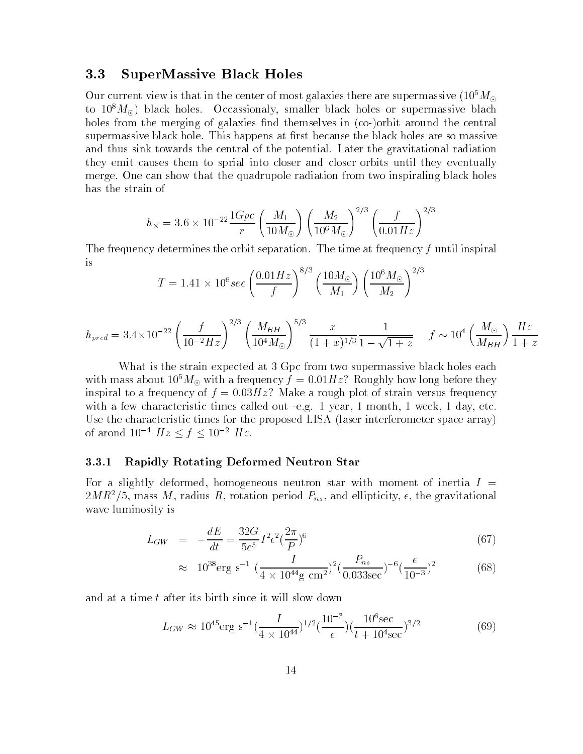### 3.3SuperMassive Black Holes

Our current view is that in the center of most galaxies there are supermassive  $(10^5 M_{\odot}$ to  $10^8 M_{\odot}$ ) black holes. Occassionaly, smaller black holes or supermassive blach holes from the merging of galaxies find themselves in (co-)orbit around the central supermassive black hole. This happens at first because the black holes are so massive and thus sink towards the central of the potential. Later the gravitational radiation they emit causes them to sprial into closer and closer orbits until they eventually merge. One can show that the quadrupole radiation from two inspiraling black holes has the strain of

$$
h_{\times} = 3.6 \times 10^{-22} \frac{1 Gpc}{r} \left(\frac{M_1}{10 M_{\odot}}\right) \left(\frac{M_2}{10^6 M_{\odot}}\right)^{2/3} \left(\frac{f}{0.01 Hz}\right)^{2/3}
$$

The frequency determines the orbit separation. The time at frequency f until inspiral is  $\overline{\mathbf{3}}$ 

$$
T = 1.41 \times 10^6 sec \left(\frac{0.01 Hz}{f}\right)^{8/3} \left(\frac{10 M_{\odot}}{M_1}\right) \left(\frac{10^6 M_{\odot}}{M_2}\right)^{2/3}
$$

$$
h_{pred} = 3.4 \times 10^{-22} \left(\frac{f}{10^{-2} Hz}\right)^{2/3} \left(\frac{M_{BH}}{10^4 M_{\odot}}\right)^{5/3} \frac{x}{(1+x)^{1/3}} \frac{1}{1 - \sqrt{1+z}} \quad f \sim 10^4 \left(\frac{M_{\odot}}{M_{BH}}\right) \frac{Hz}{1+z}
$$

What is the strain expected at 3 Gpc from two supermassive black holes each with mass about  $10^5 M_{\odot}$  with a frequency  $f = 0.01 Hz$ ? Roughly how long before they inspiral to a frequency of  $f = 0.03Hz$ ? Make a rough plot of strain versus frequency with a few characteristic times called out -e.g. 1 year, 1 month, 1 week, 1 day, etc. Use the characteristic times for the proposed LISA (laser interferometer space array) of arond  $10^{-4}$   $Hz \le f \le 10^{-2}$   $Hz$ .

#### $3.3.1$ 3.3.1 Rapidly Rotating Deformed Neutron Star

For a slightly deformed, homogeneous neutron star with moment of inertia  $I =$  $2M\,R^2/3$ , mass M, radius  $R$ , rotation period  $P_{ns}$ , and empticity,  $\epsilon$ , the gravitational wave luminosity is

$$
L_{GW} = -\frac{dE}{dt} = \frac{32G}{5c^5} I^2 \epsilon^2 (\frac{2\pi}{P})^6
$$
\n(67)

$$
\approx 10^{38} \text{erg s}^{-1} \left(\frac{I}{4 \times 10^{44} \text{g cm}^2}\right)^2 \left(\frac{P_{ns}}{0.033 \text{sec}}\right)^{-6} \left(\frac{\epsilon}{10^{-3}}\right)^2
$$
 (68)

and at a time t after its birth since it will slow down

$$
L_{GW} \approx 10^{45} \text{erg s}^{-1} \left(\frac{I}{4 \times 10^{44}}\right)^{1/2} \left(\frac{10^{-3}}{\epsilon}\right) \left(\frac{10^6 \text{sec}}{t + 10^4 \text{sec}}\right)^{3/2}
$$
 (69)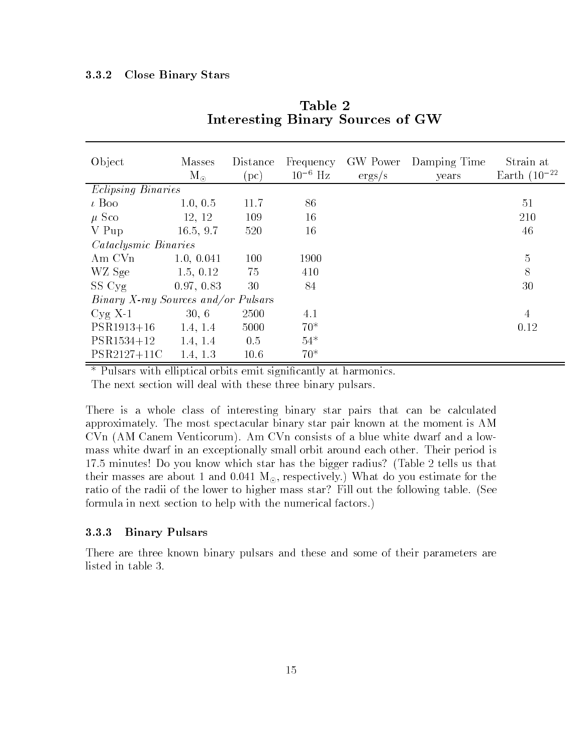#### 3.3.2 Close Binary Stars

| Object                              | <b>Masses</b><br>$M_{\odot}$ | Distance<br>(pc) | Frequency<br>$10^{-6}$ Hz | GW Power<br>ergs/s | Damping Time<br>years | Strain at<br>Earth $(10^{-22}$ |
|-------------------------------------|------------------------------|------------------|---------------------------|--------------------|-----------------------|--------------------------------|
| <i>Eclipsing Binaries</i>           |                              |                  |                           |                    |                       |                                |
| $\iota$ Boo                         | 1.0, 0.5                     | 11.7             | 86                        |                    |                       | 51                             |
| $\mu$ Sco                           | 12, 12                       | 109              | 16                        |                    |                       | 210                            |
| V Pup                               | 16.5, 9.7                    | 520              | 16                        |                    |                       | 46                             |
| <i>Cataclysmic Binaries</i>         |                              |                  |                           |                    |                       |                                |
| Am CVn                              | 1.0, 0.041                   | 100              | 1900                      |                    |                       | 5                              |
| WZ Sge                              | 1.5, 0.12                    | 75               | 410                       |                    |                       | 8                              |
| SS Cyg                              | 0.97, 0.83                   | 30               | 84                        |                    |                       | 30                             |
| Binary X-ray Sources and/or Pulsars |                              |                  |                           |                    |                       |                                |
| $Cyg$ X-1                           | 30, 6                        | 2500             | 4.1                       |                    |                       | $\overline{4}$                 |
| $PSR1913+16$                        | 1.4, 1.4                     | 5000             | $70*$                     |                    |                       | 0.12                           |
| $PSR1534+12$                        | 1.4, 1.4                     | 0.5              | $54*$                     |                    |                       |                                |
| PSR2127+11C                         | 1.4, 1.3                     | 10.6             | $70*$                     |                    |                       |                                |

Table 2Interesting Binary Sources of GW

\* Pulsars with elliptical orbits emit signicantly at harmonics.

The next section will deal with these three binary pulsars.

There is a whole class of interesting binary star pairs that can be calculated approximately. The most spectacular binary star pair known at the moment is AM CVn (AM Canem Venticorum). Am CVn consists of a blue white dwarf and a lowmass white dwarf in an exceptionally small orbit around each other. Their period is 17.5 minutes! Do you know which star has the bigger radius? (Table 2 tells us that their masses are about 1 and  $0.041 \text{ M}_{\odot}$ , respectively.) What do you estimate for the ratio of the radii of the lower to higher mass star? Fill out the following table. (See formula in next section to help with the numerical factors.)

### 3.3.3 Binary Pulsars

There are three known binary pulsars and these and some of their parameters are listed in table 3.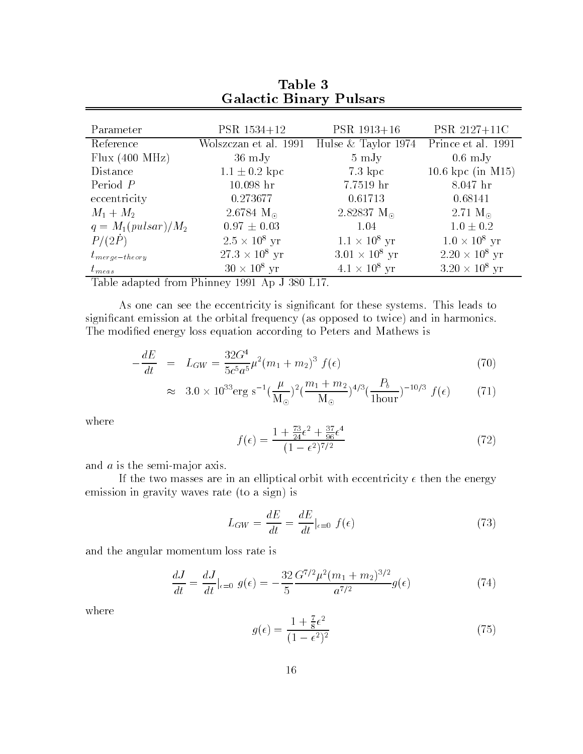| <b>Galactic Binary Pulsars</b> |                               |                       |                       |  |  |
|--------------------------------|-------------------------------|-----------------------|-----------------------|--|--|
|                                |                               |                       |                       |  |  |
| Parameter                      | PSR 1534+12                   | $PSR$ 1913+16         | PSR 2127+11C          |  |  |
| Reference                      | Wolszczan et al. 1991         | Hulse $&$ Taylor 1974 | Prince et al. 1991    |  |  |
| Flux $(400 \text{ MHz})$       | $36 \text{ mJy}$              | $5 \mathrm{mJy}$      | $0.6 \mathrm{mJy}$    |  |  |
| Distance                       | $1.1 \pm 0.2$ kpc             | $7.3 \; \text{kpc}$   | 10.6 kpc (in M15)     |  |  |
| Period $P$                     | $10.098$ hr                   | 7.7519 hr             | $8.047$ hr            |  |  |
| eccentricity                   | 0.273677                      | 0.61713               | 0.68141               |  |  |
| $M_1 + M_2$                    | 2.6784 $M_{\odot}$            | 2.82837 $M_{\odot}$   | 2.71 $M_{\odot}$      |  |  |
| $q = M_1(pulsar)/M_2$          | $0.97 \pm 0.03$               | 1.04                  | $1.0 \pm 0.2$         |  |  |
| P/(2P)                         | $2.5 \times 10^8$ yr          | $1.1 \times 10^8$ yr  | $1.0 \times 10^8$ yr  |  |  |
| $t_{merge-theory}$             | $27.3 \times 10^8 \text{ yr}$ | $3.01 \times 10^8$ yr | $2.20 \times 10^8$ yr |  |  |
| $t_{meas}$                     | $30 \times 10^8$ yr           | $4.1 \times 10^8$ yr  | $3.20 \times 10^8$ yr |  |  |

Table 3

Table adapted from Phinney 1991 Application and Phinney 1991 Application and Phinney 1991 Application and Phin

As one can see the eccentricity is signicant for these systems. This leads to signicant emission at the orbital frequency (as opposed to twice) and in harmonics. The modified energy loss equation according to Peters and Mathews is

$$
-\frac{dE}{dt} = L_{GW} = \frac{32G^4}{5c^5a^5}\mu^2(m_1 + m_2)^3 f(\epsilon)
$$
\n(70)

$$
\approx 3.0 \times 10^{33} \text{erg s}^{-1} \left(\frac{\mu}{\text{M}_{\odot}}\right)^2 \left(\frac{m_1 + m_2}{\text{M}_{\odot}}\right)^{4/3} \left(\frac{P_b}{1 \text{hour}}\right)^{-10/3} f(\epsilon) \tag{71}
$$

where

$$
f(\epsilon) = \frac{1 + \frac{73}{24}\epsilon^2 + \frac{37}{96}\epsilon^4}{(1 - \epsilon^2)^{7/2}}
$$
(72)

and  $a$  is the semi-major axis.

If the two masses are in an elliptical orbit with eccentricity  $\epsilon$  then the energy emission in gravity waves rate (to a sign) is

$$
L_{GW} = \frac{dE}{dt} = \frac{dE}{dt}|_{\epsilon=0} f(\epsilon)
$$
\n(73)

and the angular momentum loss rate is

$$
\frac{dJ}{dt} = \frac{dJ}{dt}|_{\epsilon=0} g(\epsilon) = -\frac{32}{5} \frac{G^{7/2} \mu^2 (m_1 + m_2)^{3/2}}{a^{7/2}} g(\epsilon)
$$
\n(74)

where

$$
g(\epsilon) = \frac{1 + \frac{7}{8}\epsilon^2}{(1 - \epsilon^2)^2} \tag{75}
$$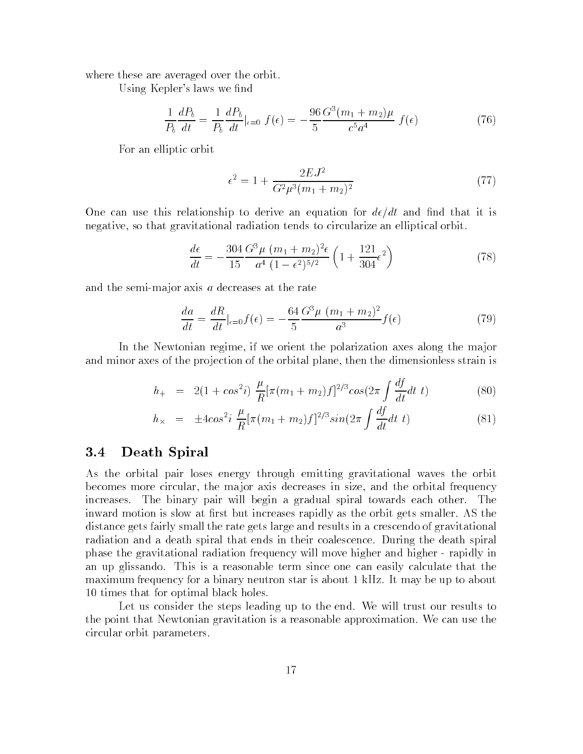where these are averaged over the orbit.

Using Kepler's laws we find

$$
\frac{1}{P_b} \frac{dP_b}{dt} = \frac{1}{P_b} \frac{dP_b}{dt}|_{\epsilon=0} f(\epsilon) = -\frac{96}{5} \frac{G^3 (m_1 + m_2)\mu}{c^5 a^4} f(\epsilon)
$$
(76)

For an elliptic orbit

$$
\epsilon^2 = 1 + \frac{2EJ^2}{G^2\mu^3(m_1 + m_2)^2} \tag{77}
$$

One can use this relationship to derive an equation for  $d\epsilon/dt$  and find that it is negative, so that gravitational radiation tends to circularize an elliptical orbit.

$$
\frac{d\epsilon}{dt} = -\frac{304}{15} \frac{G^3 \mu (m_1 + m_2)^2 \epsilon}{a^4 (1 - \epsilon^2)^{5/2}} \left(1 + \frac{121}{304} \epsilon^2\right)
$$
(78)

and the semi-major axis  $a$  decreases at the rate

$$
\frac{da}{dt} = \frac{dR}{dt}|_{\epsilon=0} f(\epsilon) = -\frac{64}{5} \frac{G^3 \mu (m_1 + m_2)^2}{a^3} f(\epsilon)
$$
\n(79)

In the Newtonian regime, if we orient the polarization axes along the ma jor and minor axes of the projection of the orbital plane, then the dimensionless strain is

$$
h_{+} = 2(1 + \cos^{2} i) \frac{\mu}{R} [\pi (m_{1} + m_{2}) f]^{2/3} \cos(2\pi \int \frac{df}{dt} dt \ t)
$$
 (80)

$$
h_{\times} = \pm 4\cos^2 i \frac{\mu}{R} [\pi (m_1 + m_2) f]^{2/3} \sin(2\pi \int \frac{df}{dt} dt \ t)
$$
 (81)

### 3.4Death Spiral

As the orbital pair loses energy through emitting gravitational waves the orbit becomes more circular, the ma jor axis decreases in size, and the orbital frequency increases. The binary pair will begin a gradual spiral towards each other. - The inward motion is slow at first but increases rapidly as the orbit gets smaller. AS the distance gets fairly small the rate gets large and results in a crescendo of gravitational radiation and a death spiral that ends in their coalescence. During the death spiral phase the gravitational radiation frequency will move higher and higher - rapidly in an up glissando. This is a reasonable term since one can easily calculate that the maximum frequency for a binary neutron star is about 1 kHz. It may be up to about 10 times that for optimal black holes.

Let us consider the steps leading up to the end. We will trust our results to the point that Newtonian gravitation is a reasonable approximation. We can use the circular orbit parameters.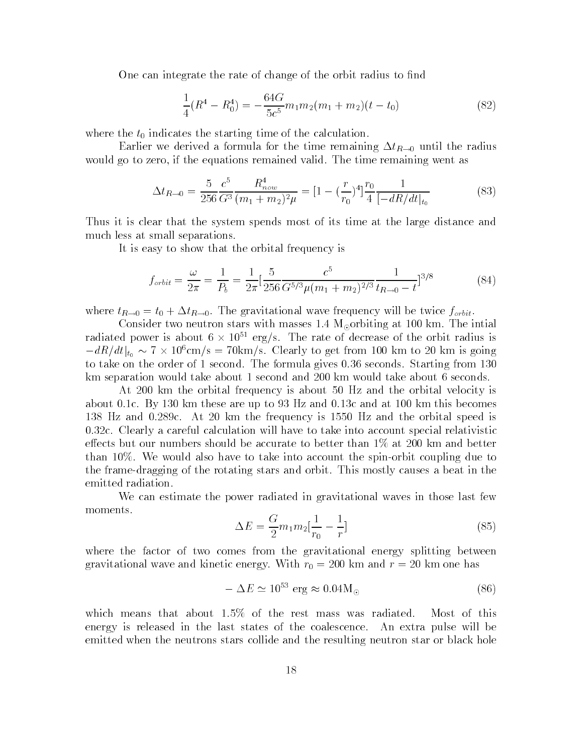One can integrate the rate of change of the orbit radius to find

$$
\frac{1}{4}(R^4 - R_0^4) = -\frac{64G}{5c^5}m_1m_2(m_1 + m_2)(t - t_0)
$$
\n(82)

where the  $t_0$  indicates the starting time of the calculation.

Earlier we derived a formula for the time remaining  $\Delta t_{R\rightarrow0}$  until the radius would go to zero, if the equations remained valid. The time remaining went as

$$
\Delta t_{R \to 0} = \frac{5}{256} \frac{c^5}{G^3} \frac{R_{now}^4}{(m_1 + m_2)^2 \mu} = \left[1 - \left(\frac{r}{r_0}\right)^4\right] \frac{r_0}{4} \frac{1}{\left[-dR/dt\right]_{t_0}}
$$
(83)

Thus it is clear that the system spends most of its time at the large distance and much less at small separations.

It is easy to show that the orbital frequency is

$$
f_{orbit} = \frac{\omega}{2\pi} = \frac{1}{P_b} = \frac{1}{2\pi} \left[ \frac{5}{256} \frac{c^5}{G^{5/3} \mu (m_1 + m_2)^{2/3}} \frac{1}{t_{R \to 0} - t} \right]^{3/8}
$$
(84)

where  $t_{R\to 0} = t_0 + \Delta t_{R\to 0}$ . The gravitational wave frequency will be twice  $f_{orbit}$ .

Consider two neutron stars with masses 1.4  $M_{\odot}$  orbiting at 100 km. The intial radiated power is about  $6 \times 10^{11}$  erg/s. The rate of decrease of the orbit radius is  $\|a\|_{t_0} \sim t \times 10^5 \text{cm/s} = 70 \text{km/s}$ . Clearly to get from 100 km to 20 km is going to take on the order of 1 second. The formula gives 0.36 seconds. Starting from 130 km separation would take about 1 second and 200 km would take about 6 seconds.

At 200 km the orbital frequency is about 50 Hz and the orbital velocity is about 0.1c. By 130 km these are up to 93 Hz and 0.13c and at 100 km this becomes 138 Hz and 0.289c. At 20 km the frequency is 1550 Hz and the orbital speed is 0.32c. Clearly a careful calculation will have to take into account special relativistic effects but our numbers should be accurate to better than  $1\%$  at 200 km and better than 10%. We would also have to take into account the spin-orbit coupling due to the frame-dragging of the rotating stars and orbit. This mostly causes a beat in the emitted radiation.

We can estimate the power radiated in gravitational waves in those last few moments.

$$
\Delta E = \frac{G}{2} m_1 m_2 \left[ \frac{1}{r_0} - \frac{1}{r} \right] \tag{85}
$$

where the factor of two comes from the gravitational energy splitting between gravitational wave and kinetic energy. With  $r_0 = 200$  km and  $r = 20$  km one has

$$
-\Delta E \simeq 10^{53} \text{ erg} \approx 0.04 \text{M}_{\odot} \tag{86}
$$

which means that about 1.5% of the rest mass was radiated. Most of this energy is released in the last states of the coalescence. An extra pulse will be emitted when the neutrons stars collide and the resulting neutron star or black hole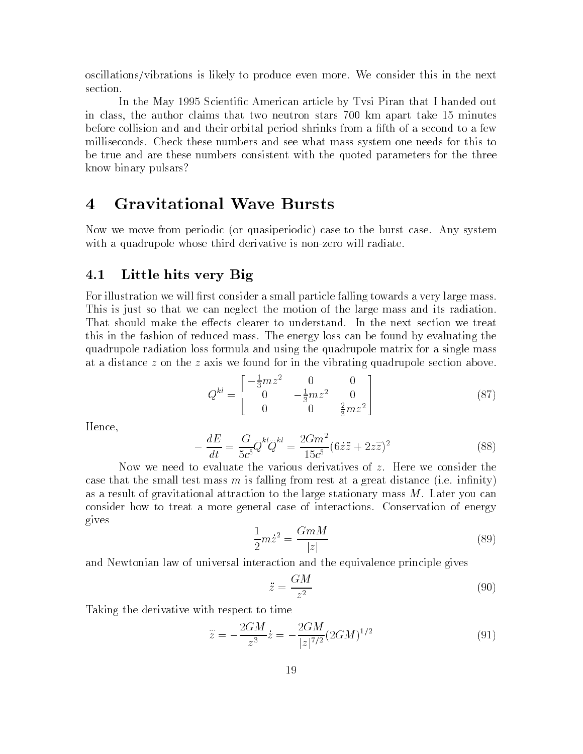oscillations/vibrations is likely to produce even more. We consider this in the next section.

In the May 1995 Scientic American article by Tvsi Piran that I handed out in class, the author claims that two neutron stars 700 km apart take 15 minutes before collision and and their orbital period shrinks from a fth of a second to a few milliseconds. Check these numbers and see what mass system one needs for this to be true and are these numbers consistent with the quoted parameters for the three know binary pulsars?

Now we move from periodic (or quasiperiodic) case to the burst case. Any system with a quadrupole whose third derivative is non-zero will radiate.

### 4.1Little hits very Big

For illustration we will first consider a small particle falling towards a very large mass. This is just so that we can neglect the motion of the large mass and its radiation. That should make the effects clearer to understand. In the next section we treat this in the fashion of reduced mass. The energy loss can be found by evaluating the quadrupole radiation loss formula and using the quadrupole matrix for a single mass at a distance  $z$  on the  $z$  axis we found for in the vibrating quadrupole section above.

$$
Q^{kl} = \begin{bmatrix} -\frac{1}{3}mz^2 & 0 & 0\\ 0 & -\frac{1}{3}mz^2 & 0\\ 0 & 0 & \frac{2}{3}mz^2 \end{bmatrix}
$$
 (87)

Hence,

$$
-\frac{dE}{dt} = \frac{G}{5c^5} \ddot{Q}^{kl} \ddot{Q}^{kl} = \frac{2Gm^2}{15c^5} (6\dot{z}\ddot{z} + 2z\ddot{z})^2
$$
 (88)

Now we need to evaluate the various derivatives of z. Here we consider the case that the small test mass  $m$  is falling from rest at a great distance (i.e. infinity) as a result of gravitational attraction to the large stationary mass  $M$ . Later you can consider how to treat a more general case of interactions. Conservation of energy gives

$$
\frac{1}{2}m\dot{z}^2 = \frac{GmM}{|z|}\tag{89}
$$

and Newtonian law of universal interaction and the equivalence principle gives

$$
\ddot{z} = \frac{GM}{z^2} \tag{90}
$$

Taking the derivative with respect to time

$$
\ddot{z} = -\frac{2GM}{z^3}\dot{z} = -\frac{2GM}{|z|^{7/2}}(2GM)^{1/2} \tag{91}
$$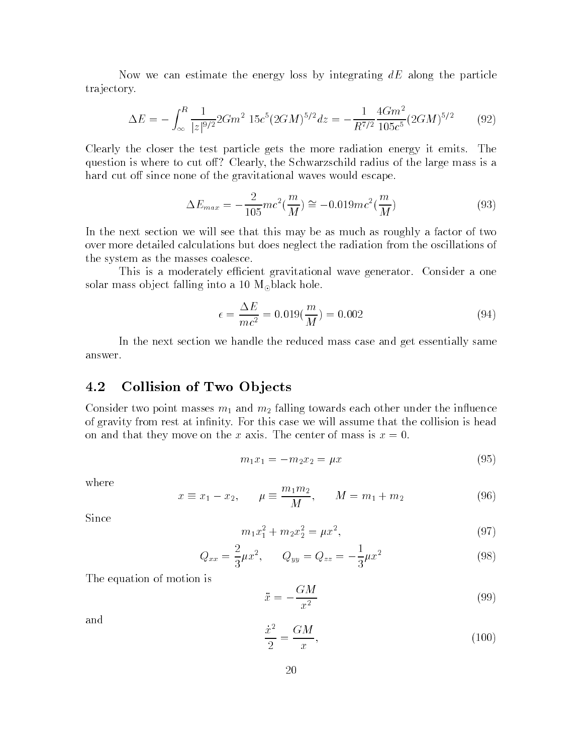Now we can estimate the energy loss by integrating  $dE$  along the particle tra jectory.

$$
\Delta E = -\int_{\infty}^{R} \frac{1}{|z|^{9/2}} 2Gm^2 15c^5 (2GM)^{5/2} dz = -\frac{1}{R^{7/2}} \frac{4Gm^2}{105c^5} (2GM)^{5/2}
$$
(92)

Clearly the closer the test particle gets the more radiation energy it emits. The question is where to cut off? Clearly, the Schwarzschild radius of the large mass is a hard cut off since none of the gravitational waves would escape.

$$
\Delta E_{max} = -\frac{2}{105}mc^2(\frac{m}{M}) \cong -0.019mc^2(\frac{m}{M})
$$
\n(93)

In the next section we will see that this may be as much as roughly a factor of two over more detailed calculations but does neglect the radiation from the oscillations of the system as the masses coalesce.

This is a moderately efficient gravitational wave generator. Consider a one solar mass object falling into a 10  $M_{\odot}$  black hole.

$$
\epsilon = \frac{\Delta E}{mc^2} = 0.019(\frac{m}{M}) = 0.002\tag{94}
$$

In the next section we handle the reduced mass case and get essentially same answer.

### 4.2Collision of Two Ob jects

Consider two point masses  $m_1$  and  $m_2$  falling towards each other under the influence of gravity from rest at infinity. For this case we will assume that the collision is head on and that they move on the x axis. The center of mass is  $x = 0$ .

$$
m_1 x_1 = -m_2 x_2 = \mu x \tag{95}
$$

where

$$
x \equiv x_1 - x_2, \qquad \mu \equiv \frac{m_1 m_2}{M}, \qquad M = m_1 + m_2 \tag{96}
$$

Since

$$
m_1 x_1^2 + m_2 x_2^2 = \mu x^2, \tag{97}
$$

$$
Q_{xx} = \frac{2}{3}\mu x^2, \qquad Q_{yy} = Q_{zz} = -\frac{1}{3}\mu x^2 \tag{98}
$$

The equation of motion is

$$
\ddot{x} = -\frac{GM}{x^2} \tag{99}
$$

and

$$
\frac{x^2}{2} = \frac{GM}{x},\tag{100}
$$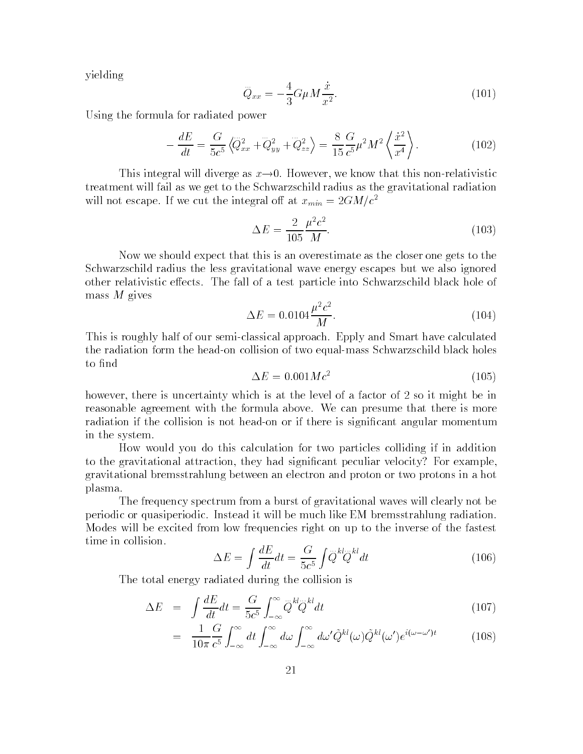yielding

$$
\ddot{Q}_{xx} = -\frac{4}{3} G \mu M \frac{\dot{x}}{x^2}.
$$
\n(101)

Using the formula for radiated power

$$
-\frac{dE}{dt} = \frac{G}{5c^5} \left\langle \bar{Q}_{xx}^2 + \bar{Q}_{yy}^2 + \bar{Q}_{zz}^2 \right\rangle = \frac{8}{15} \frac{G}{c^5} \mu^2 M^2 \left\langle \frac{\dot{x}^2}{x^4} \right\rangle. \tag{102}
$$

This integral will diverge as  $x \rightarrow 0$ . However, we know that this non-relativistic treatment will fail as we get to the Schwarzschild radius as the gravitational radiation will not escape. If we cut the integral off at  $x_{min} = 2GM/c^2$ 

$$
\Delta E = \frac{2}{105} \frac{\mu^2 c^2}{M}.
$$
\n(103)

Now we should expect that this is an overestimate as the closer one gets to the Schwarzschild radius the less gravitational wave energy escapes but we also ignored other relativistic effects. The fall of a test particle into Schwarzschild black hole of mass M gives

$$
\Delta E = 0.0104 \frac{\mu^2 c^2}{M}.
$$
\n(104)

This is roughly half of our semi-classical approach. Epply and Smart have calculated the radiation form the head-on collision of two equal-mass Schwarzschild black holes to find

$$
\Delta E = 0.001 M c^2 \tag{105}
$$

however, there is uncertainty which is at the level of a factor of 2 so it might be in reasonable agreement with the formula above. We can presume that there is more radiation if the collision is not head-on or if there is signicant angular momentum in the system.

How would you do this calculation for two particles colliding if in addition to the gravitational attraction, they had signicant peculiar velocity? For example, gravitational bremsstrahlung between an electron and proton or two protons in a hot plasma.

The frequency spectrum from a burst of gravitational waves will clearly not be periodic or quasiperiodic. Instead it will be much like EM bremsstrahlung radiation. Modes will be excited from low frequencies right on up to the inverse of the fastest

$$
\Delta E = \int \frac{dE}{dt} dt = \frac{G}{5c^5} \int \ddot{Q}^{kl} \ddot{Q}^{kl} dt \qquad (106)
$$

The total energy radiated during the collision is

$$
\Delta E = \int \frac{dE}{dt} dt = \frac{G}{5c^5} \int_{-\infty}^{\infty} \ddot{Q}^{kl} \ddot{Q}^{kl} dt \qquad (107)
$$

$$
= \frac{1}{10\pi} \frac{G}{c^5} \int_{-\infty}^{\infty} dt \int_{-\infty}^{\infty} d\omega \int_{-\infty}^{\infty} d\omega' \tilde{Q}^{kl}(\omega) \tilde{Q}^{kl}(\omega') e^{i(\omega - \omega')t} \tag{108}
$$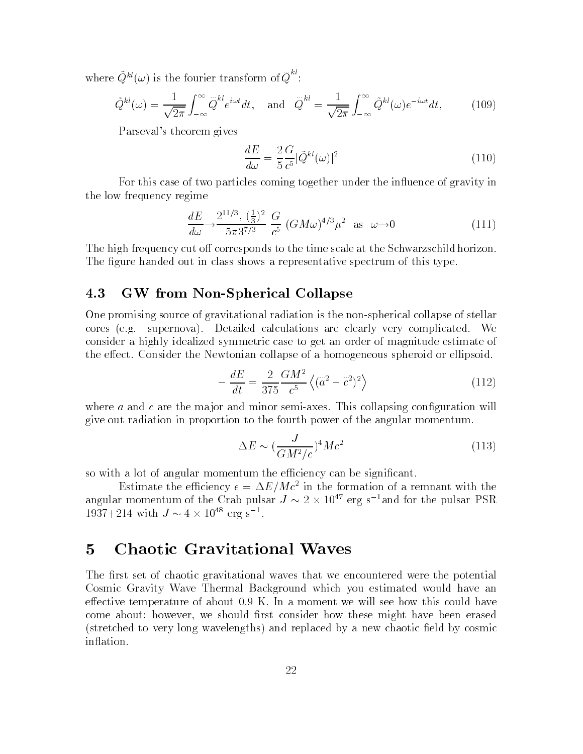where  $Q^{kl}(\omega)$  is the fourier transform of  $\overline{Q}^{kl}$ :  $Q^{\cdots}$ :

$$
\tilde{Q}^{kl}(\omega) = \frac{1}{\sqrt{2\pi}} \int_{-\infty}^{\infty} \tilde{Q}^{kl} e^{i\omega t} dt, \text{ and } \tilde{Q}^{kl} = \frac{1}{\sqrt{2\pi}} \int_{-\infty}^{\infty} \tilde{Q}^{kl}(\omega) e^{-i\omega t} dt,
$$
 (109)

Parseval's theorem gives

$$
\frac{dE}{d\omega} = \frac{2}{5} \frac{G}{c^5} |\tilde{Q}^{kl}(\omega)|^2 \tag{110}
$$

For this case of two particles coming together under the influence of gravity in the low frequency regime

$$
\frac{dE}{d\omega} \to \frac{2^{11/3}, \left(\frac{1}{3}\right)^2}{5\pi 3^{7/3}} \frac{G}{c^5} \left(GM\omega\right)^{4/3} \mu^2 \text{ as } \omega \to 0 \tag{111}
$$

The high frequency cut off corresponds to the time scale at the Schwarzschild horizon. The figure handed out in class shows a representative spectrum of this type.

### 4.3GW from Non-Spherical Collapse

One promising source of gravitational radiation is the non-spherical collapse of stellar cores (e.g. supernova). Detailed calculations are clearly very complicated. We consider a highly idealized symmetric case to get an order of magnitude estimate of the effect. Consider the Newtonian collapse of a homogeneous spheroid or ellipsoid.

$$
-\frac{dE}{dt} = \frac{2}{375} \frac{GM^2}{c^5} \left\langle (\vec{a}^2 - \vec{c}^2)^2 \right\rangle
$$
 (112)

where  $a$  and  $c$  are the major and minor semi-axes. This collapsing configuration will give out radiation in proportion to the fourth power of the angular momentum.

$$
\Delta E \sim (\frac{J}{GM^2/c})^4 Mc^2 \tag{113}
$$

so with a lot of angular momentum the efficiency can be significant.

Estimate the efficiency  $\epsilon = \Delta E/Mc^2$  in the formation of a remnant with the angular momentum of the Crab pulsar  $J \approx Z \times 10^{47}$  erg s  $^{-}$ and for the pulsar PSR  $1931 + 214$  with  $J \sim 4 \times 10^{-4}$  erg s  $^{-1}$ .

### $\overline{5}$ **Chaotic Gravitational Waves**

The first set of chaotic gravitational waves that we encountered were the potential Cosmic Gravity Wave Thermal Background which you estimated would have an effective temperature of about  $0.9$  K. In a moment we will see how this could have come about; however, we should first consider how these might have been erased (stretched to very long wavelengths) and replaced by a new chaotic field by cosmic inflation.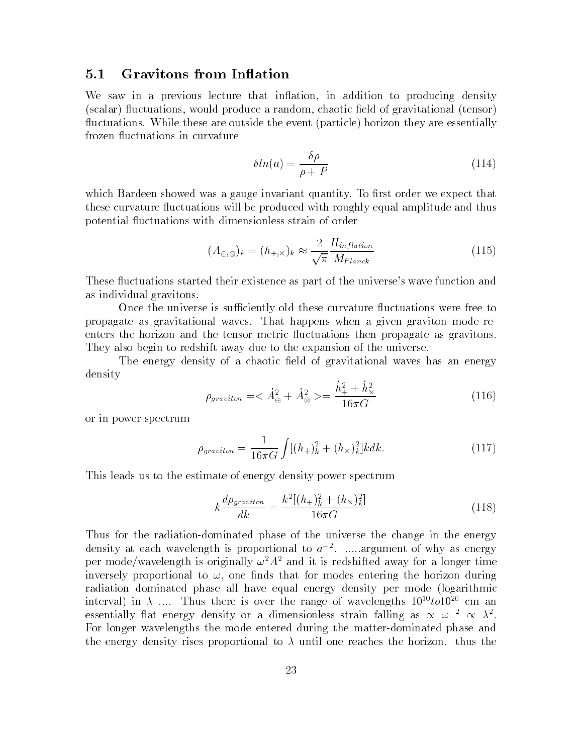### 5.1Gravitons from In
ation

We saw in a previous lecture that inflation, in addition to producing density (scalar) fluctuations, would produce a random, chaotic field of gravitational (tensor) fluctuations. While these are outside the event (particle) horizon they are essentially frozen fluctuations in curvature

$$
\delta \ln(a) = \frac{\delta \rho}{\rho + P} \tag{114}
$$

which Bardeen showed was a gauge invariant quantity. To first order we expect that these curvature fluctuations will be produced with roughly equal amplitude and thus potential 
uctuations with dimensionless strain of order

$$
(A_{\oplus,\otimes})_k = (h_{+,\times})_k \approx \frac{2}{\sqrt{\pi}} \frac{H_{inflation}}{M_{Planck}}
$$
\n(115)

These fluctuations started their existence as part of the universe's wave function and as individual gravitons.

Once the universe is sufficiently old these curvature fluctuations were free to propagate as gravitational waves. That happens when a given graviton mode reenters the horizon and the tensor metric fluctuations then propagate as gravitons. They also begin to redshift away due to the expansion of the universe.

The energy density of a chaotic field of gravitational waves has an energy density

$$
\rho_{graviton} = \langle \dot{A}_{\oplus}^2 + \dot{A}_{\otimes}^2 \rangle = \frac{\dot{h}_{+}^2 + \dot{h}_{\times}^2}{16\pi G} \tag{116}
$$

or in power spectrum

$$
\rho_{graviton} = \frac{1}{16\pi G} \int [(h_{+})_{k}^{2} + (h_{\times})_{k}^{2}] k dk. \tag{117}
$$

This leads us to the estimate of energy density power spectrum

$$
k \frac{d\rho_{graviton}}{dk} = \frac{k^2[(h_+)_k^2 + (h_\times)_k^2]}{16\pi G} \tag{118}
$$

Thus for the radiation-dominated phase of the universe the change in the energy density at each wavelength is proportional to  $a^{-1}$ . .....argument of why as energy per mode/wavelength is originally  $\omega^2 A^2$  and it is redshifted away for a longer time inversely proportional to  $\omega$ , one finds that for modes entering the horizon during radiation dominated phase all have equal energy density per mode (logarithmic interval) in  $\lambda$  .... Thus there is over the range of wavelengths  $10^{10}$ to $10^{26}$  cm an essentially flat energy density or a dimensionless strain falling as  $\propto$   $\omega$  =  $\propto$   $\lambda$  . For longer wavelengths the mode entered during the matter-dominated phase and the energy density rises proportional to  $\lambda$  until one reaches the horizon. thus the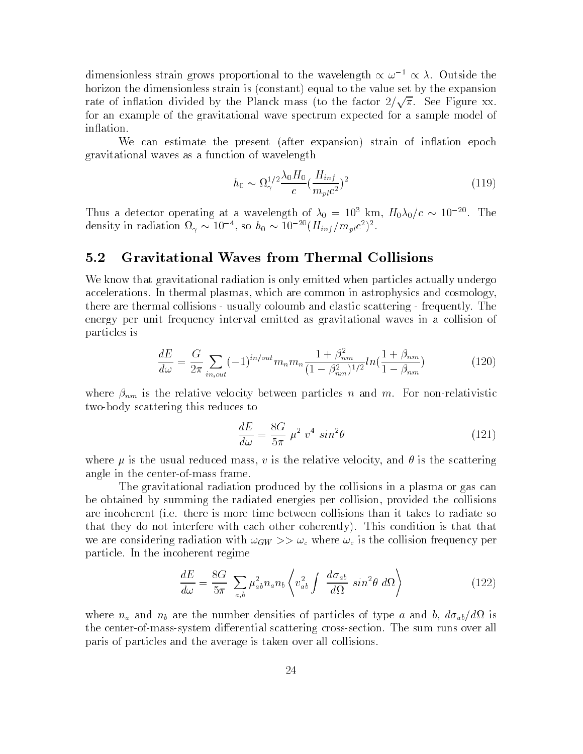dimensionless strain grows proportional to the wavelength  $\propto \omega^{-1} \propto \lambda$ . Outside the horizon the dimensionless strain is (constant) equal to the value set by the expansion rate of inflation divided by the Planck mass (to the factor  $2/\sqrt{\pi}$ . See Figure xx. for an example of the gravitational wave spectrum expected for a sample model of in
ation.

We can estimate the present (after expansion) strain of inflation epoch gravitational waves as a function of wavelength

$$
h_0 \sim \Omega_\gamma^{1/2} \frac{\lambda_0 H_0}{c} \left(\frac{H_{inf}}{m_{pl}c^2}\right)^2 \tag{119}
$$

Thus a detector operating at a wavelength of  $\lambda_0 = 10^3$  km,  $H_0 \lambda_0/c \sim 10^{-20}$ . The density in radiation  $\Omega_{\gamma} \sim 10^{-5}$ , so  $n_0 \sim 10^{-5}$  ( $H_{inf}/m_{pl}c^{-}$ ).

### 5.2Gravitational Waves from Thermal Collisions

We know that gravitational radiation is only emitted when particles actually undergo accelerations. In thermal plasmas, which are common in astrophysics and cosmology, there are thermal collisions - usually coloumb and elastic scattering - frequently. The energy per unit frequency interval emitted as gravitational waves in a collision of particles is

$$
\frac{dE}{d\omega} = \frac{G}{2\pi} \sum_{in,out} (-1)^{in/out} m_n m_n \frac{1 + \beta_{nm}^2}{(1 - \beta_{nm}^2)^{1/2}} ln(\frac{1 + \beta_{nm}}{1 - \beta_{nm}})
$$
(120)

where  $\mu_{\rm{BH}}$  is the relative velocity between particles n and m. For non-relativistic non-relativistic  $\sim$ two-body scattering this reduces to

$$
\frac{dE}{d\omega} = \frac{8G}{5\pi} \mu^2 v^4 \sin^2\theta \tag{121}
$$

where  $\mu$  is the usual reduced mass, v is the relative velocity, and  $\theta$  is the scattering angle in the center-of-mass frame.

The gravitational radiation produced by the collisions in a plasma or gas can be obtained by summing the radiated energies per collision, provided the collisions are incoherent (i.e. there is more time between collisions than it takes to radiate so that they do not interfere with each other coherently). This condition is that that we are considering radiation with the constant  $\mathcal{C}$  is the collision frequency per collision frequency per collision frequency per collision frequency per collision frequency per collision frequency per collision freq particle. In the incoherent regime

$$
\frac{dE}{d\omega} = \frac{8G}{5\pi} \sum_{a,b} \mu_{ab}^2 n_a n_b \left\langle v_{ab}^2 \int \frac{d\sigma_{ab}}{d\Omega} \sin^2 \theta \ d\Omega \right\rangle \tag{122}
$$

where  $\alpha$  are the number density of the number density of particles of type at and  $\alpha$  , and  $\alpha$ , and  $\alpha$ the center-of-mass-system differential scattering cross-section. The sum runs over all paris of particles and the average is taken over all collisions.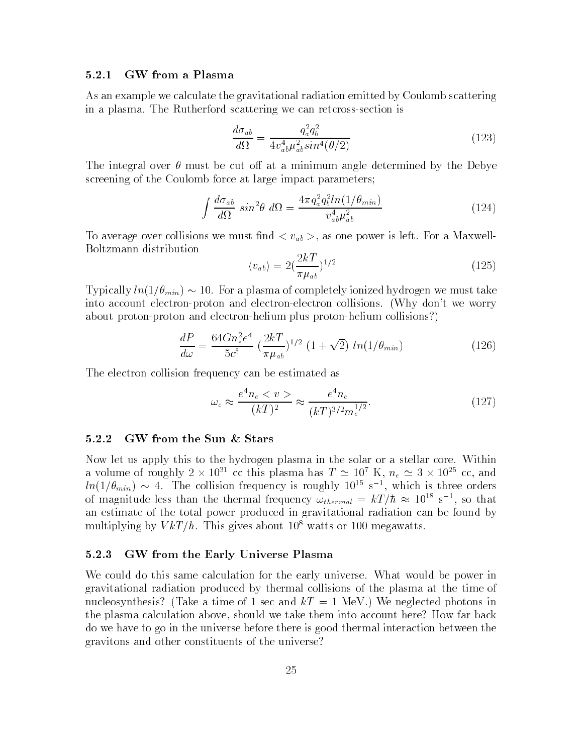#### $5.2.1$ GW from a Plasma

As an example we calculate the gravitational radiation emitted by Coulomb scattering in a plasma. The Rutherford scattering we can retcross-section is

$$
\frac{d\sigma_{ab}}{d\Omega} = \frac{q_a^2 q_b^2}{4v_{ab}^4 \mu_{ab}^2 \sin^4(\theta/2)}
$$
(123)

The integral over  $\theta$  must be cut off at a minimum angle determined by the Debye screening of the Coulomb force at large impact parameters;

$$
\int \frac{d\sigma_{ab}}{d\Omega} \sin^2 \theta \ d\Omega = \frac{4\pi q_a^2 q_b^2 \ln(1/\theta_{min})}{v_{ab}^4 \mu_{ab}^2} \tag{124}
$$

To average over collisions we must now power in the must not power is as one power is left. For a Maxwell-Formal  $\mu$ Boltzmann distribution

$$
\langle v_{ab}\rangle = 2\left(\frac{2k}{\pi \mu_{ab}}\right)^{1/2} \tag{125}
$$

Typically  $ln(1/\theta_{min}) \sim 10$ . For a plasma of completely ionized hydrogen we must take into account electron-proton and electron-electron collisions. (Why don't we worry about proton-proton and electron-helium plus proton-helium collisions?)

$$
\frac{dP}{d\omega} = \frac{64Gn_e^2e^4}{5c^5} \left(\frac{2kT}{\pi\mu_{ab}}\right)^{1/2} \left(1+\sqrt{2}\right) \ln(1/\theta_{min})\tag{126}
$$

The electron collision frequency can be estimated as

$$
\omega_c \approx \frac{e^4 n_e < v >}{(k)^2} \approx \frac{e^4 n_e}{(k)^{3/2} m_e^{1/2}}.\tag{127}
$$

## 5.2.2 GW from the Sun & Stars

Now let us apply this to the hydrogen plasma in the solar or a stellar core. Within a volume of roughly  $2 \times 10^{31}$  cc this plasma has  $T \simeq 10^{11}$  K,  $n_e \simeq 3 \times 10^{23}$  cc, and  $m(1/\sigma_{min}) \sim 4$ . The collision frequency is roughly 10<sup>-5</sup> s <sup>-</sup>, which is three orders of magnitude less than the thermal frequency  $\omega_{thermal}$  = kT+h  $\approx$  10<sup>--</sup> s<sup>--</sup>, so that an estimate of the total power produced in gravitational radiation can be found by multiplying by  $VkT/\hbar$ . This gives about 10<sup>8</sup> watts or 100 megawatts.

### 5.2.3 GW from the Early Universe Plasma

We could do this same calculation for the early universe. What would be power in gravitational radiation produced by thermal collisions of the plasma at the time of nucleosynthesis? (Take a time of 1 sec and  $kT = 1$  MeV.) We neglected photons in the plasma calculation above, should we take them into account here? How far back do we have to go in the universe before there is good thermal interaction between the gravitons and other constituents of the universe?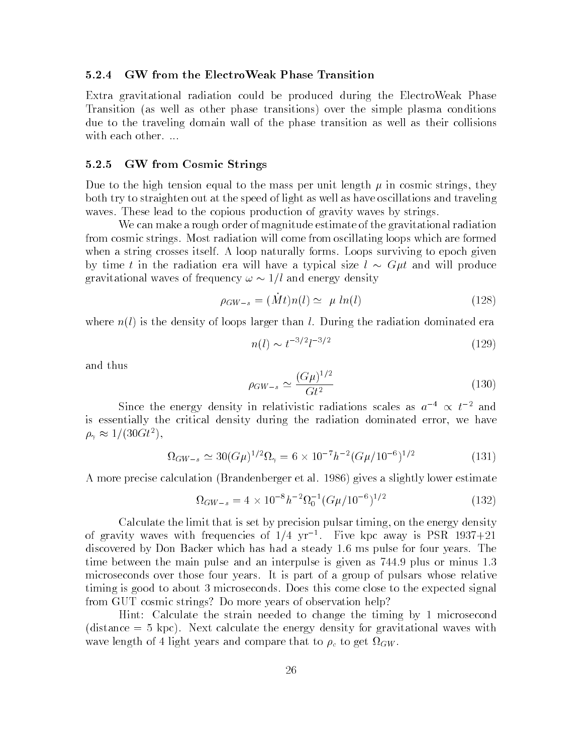#### 5.2.4 5.2.4 GW from the ElectroWeak Phase Transition

Extra gravitational radiation could be produced during the ElectroWeak Phase Transition (as well as other phase transitions) over the simple plasma conditions due to the traveling domain wall of the phase transition as well as their collisions with each other. ...

### 5.2.5 GW from Cosmic Strings

Due to the high tension equal to the mass per unit length  $\mu$  in cosmic strings, they both try to straighten out at the speed of light as well as have oscillations and traveling waves. These lead to the copious production of gravity waves by strings.

We can make a rough order of magnitude estimate of the gravitational radiation from cosmic strings. Most radiation will come from oscillating loops which are formed when a string crosses itself. A loop naturally forms. Loops surviving to epoch given by time t in the radiation era will have a typical size  $l \sim G\mu t$  and will produce gravitational waves of frequency  $\omega \sim 1/l$  and energy density

$$
\rho_{GW-s} = (\dot{M}t)n(l) \simeq \mu \ln(l) \tag{128}
$$

where  $n(l)$  is the density of loops larger than l. During the radiation dominated era

$$
n(l) \sim t^{-3/2} l^{-3/2} \tag{129}
$$

and thus

$$
\rho_{GW-s} \simeq \frac{(G\mu)^{1/2}}{Gt^2} \tag{130}
$$

Since the energy density in relativistic radiations scales as  $a^{-4} \propto t^{-2}$  and is essentially the critical density during the radiation dominated error, we have  $\rho_{\gamma} \approx 1/(30GeV)$ ,

$$
\Omega_{GW-s} \simeq 30(G\mu)^{1/2}\Omega_{\gamma} = 6 \times 10^{-7} h^{-2} (G\mu/10^{-6})^{1/2}
$$
 (131)

A more precise calculation (Brandenberger et al. 1986) gives a slightly lower estimate

$$
\Omega_{GW-s} = 4 \times 10^{-8} h^{-2} \Omega_0^{-1} (G\mu/10^{-6})^{1/2}
$$
\n(132)

Calculate the limit that is set by precision pulsar timing, on the energy density of gravity waves with frequencies of  $1/4$  yr  $\lceil$ . Five kpc away is PSR 1937+21 discovered by Don Backer which has had a steady 1.6 ms pulse for four years. The time between the main pulse and an interpulse is given as 744.9 plus or minus 1.3 microseconds over those four years. It is part of a group of pulsars whose relative timing is good to about 3 microseconds. Does this come close to the expected signal from GUT cosmic strings? Do more years of observation help?

Hint: Calculate the strain needed to change the timing by 1 microsecond (distance = 5 kpc). Next calculate the energy density for gravitational waves with wave length of 4 light years and compare that the compare get rewards.